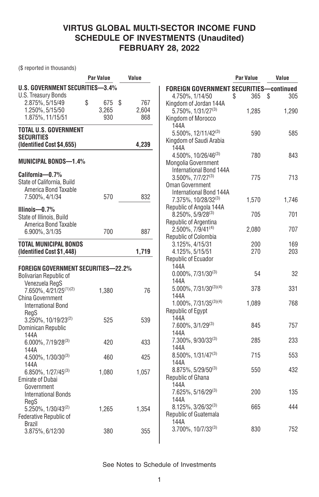(\$ reported in thousands)

|                                                       | Par Value       | Value |                                                | Par Value | Value     |
|-------------------------------------------------------|-----------------|-------|------------------------------------------------|-----------|-----------|
| <b>U.S. GOVERNMENT SECURITIES-3.4%</b>                |                 |       | <b>FOREIGN GOVERNMENT SECURITIES-continued</b> |           |           |
| <b>U.S. Treasury Bonds</b>                            |                 |       | 4.750%, 1/14/50                                | \$<br>365 | \$<br>305 |
| 2.875%, 5/15/49                                       | \$<br>675<br>\$ | 767   | Kingdom of Jordan 144A                         |           |           |
| 1.250%, 5/15/50                                       | 3,265           | 2.604 | 5.750%, 1/31/27(3)                             | 1.285     | 1,290     |
| 1.875%, 11/15/51                                      | 930             | 868   | Kingdom of Morocco                             |           |           |
|                                                       |                 |       | 144A                                           |           |           |
| <b>TOTAL U.S. GOVERNMENT</b>                          |                 |       | 5.500%, 12/11/42(3)                            | 590       | 585       |
| <b>SECURITIES</b>                                     |                 |       | Kingdom of Saudi Arabia                        |           |           |
| (Identified Cost \$4,655)                             |                 | 4,239 | 144A                                           |           |           |
|                                                       |                 |       | 4.500%, 10/26/46(3)                            | 780       | 843       |
| <b>MUNICIPAL BONDS-1.4%</b>                           |                 |       | Mongolia Government                            |           |           |
|                                                       |                 |       | International Bond 144A                        |           |           |
| California-0.7%                                       |                 |       | $3.500\%$ , $7/7/27^{(3)}$                     | 775       | 713       |
| State of California, Build                            |                 |       | Oman Government                                |           |           |
| America Bond Taxable                                  |                 |       | International Bond 144A                        |           |           |
| 7.500%, 4/1/34                                        | 570             | 832   | 7.375%, 10/28/32 <sup>(3)</sup>                | 1,570     | 1.746     |
|                                                       |                 |       | Republic of Angola 144A                        |           |           |
| Illinois-0.7%                                         |                 |       | $8.250\%$ , 5/9/28 <sup>(3)</sup>              | 705       | 701       |
| State of Illinois. Build                              |                 |       | Republic of Argentina                          |           |           |
| America Bond Taxable                                  |                 |       | $2.500\%$ , $7/9/41^{(4)}$                     | 2,080     | 707       |
| 6.900%, 3/1/35                                        | 700             | 887   | Republic of Colombia                           |           |           |
| <b>TOTAL MUNICIPAL BONDS</b>                          |                 |       | 3.125%, 4/15/31                                | 200       | 169       |
| (Identified Cost \$1,448)                             |                 | 1,719 | 4.125%, 5/15/51                                | 270       | 203       |
|                                                       |                 |       | Republic of Ecuador                            |           |           |
| <b>FOREIGN GOVERNMENT SECURITIES-22.2%</b>            |                 |       | 144A                                           |           |           |
| <b>Bolivarian Republic of</b>                         |                 |       | $0.000\%$ , 7/31/30 <sup>(3)</sup>             | 54        | 32        |
| Venezuela RegS                                        |                 |       | 144A                                           |           |           |
|                                                       |                 | 76    | $5.000\%, 7/31/30^{(3)(4)}$                    | 378       | 331       |
| 7.650%, 4/21/25 <sup>(1)(2)</sup><br>China Government | 1,380           |       | 144A                                           |           |           |
|                                                       |                 |       | 1.000%, 7/31/35(3)(4)                          | 1,089     | 768       |
| <b>International Bond</b>                             |                 |       | Republic of Egypt                              |           |           |
| RegS<br>3.250%, 10/19/23(2)                           |                 |       | 144A                                           |           |           |
| Dominican Republic                                    | 525             | 539   | 7.600%, 3/1/29(3)                              | 845       | 757       |
| 144A                                                  |                 |       | 144A                                           |           |           |
| 6.000%, 7/19/28(3)                                    | 420             | 433   | $7.300\%$ , $9/30/33^{(3)}$                    | 285       | 233       |
| 144A                                                  |                 |       | 144A                                           |           |           |
| 4.500%, 1/30/30(3)                                    | 460             | 425   | $8.500\%$ , $1/31/47^{(3)}$                    | 715       | 553       |
| 144A                                                  |                 |       | 144A                                           |           |           |
| 6.850%, 1/27/45 <sup>(3)</sup>                        | 1,080           | 1,057 | $8.875\%$ , 5/29/50 <sup>(3)</sup>             | 550       | 432       |
| <b>Emirate of Dubai</b>                               |                 |       | Republic of Ghana                              |           |           |
| Government                                            |                 |       | 144A                                           |           |           |
| <b>International Bonds</b>                            |                 |       | 7.625%, 5/16/29(3)                             | 200       | 135       |
| RegS                                                  |                 |       | 144A                                           |           |           |
| $5.250\%$ , $1/30/43^{(2)}$                           | 1,265           | 1,354 | 8.125%, 3/26/32(3)                             | 665       | 444       |
| Federative Republic of                                |                 |       | Republic of Guatemala                          |           |           |
| <b>Brazil</b>                                         |                 |       | 144A                                           |           |           |
| 3.875%, 6/12/30                                       | 380             | 355   | $3.700\%$ , $10/7/33^{(3)}$                    | 830       | 752       |
|                                                       |                 |       |                                                |           |           |
|                                                       |                 |       |                                                |           |           |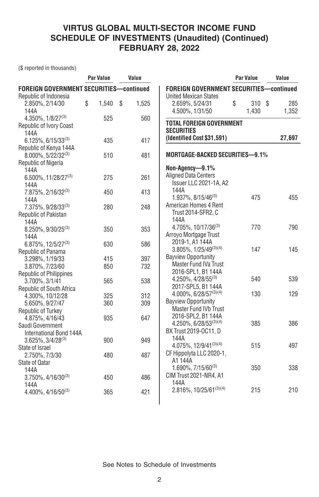(\$ reported in thousands)

|                                                | <b>Par Value</b> | Value       |                                                                     | <b>Par Value</b> | Value  |
|------------------------------------------------|------------------|-------------|---------------------------------------------------------------------|------------------|--------|
| <b>FOREIGN GOVERNMENT SECURITIES-continued</b> |                  |             | <b>FOREIGN GOVERNMENT SECURITIES-continued</b>                      |                  |        |
| Republic of Indonesia                          |                  |             | <b>United Mexican States</b>                                        |                  |        |
| 2.850%, 2/14/30                                | \$<br>1,540      | \$<br>1,525 | 2.659%, 5/24/31                                                     | \$<br>310 \$     | 285    |
| 144A                                           |                  |             | 4.500%, 1/31/50                                                     | 1.430            | 1,352  |
| $4.350\%$ , $1/8/27^{(3)}$                     | 525              | 560         |                                                                     |                  |        |
| <b>Republic of Ivory Coast</b>                 |                  |             | <b>TOTAL FOREIGN GOVERNMENT</b>                                     |                  |        |
| 144A                                           |                  |             | <b>SECURITIES</b>                                                   |                  |        |
| $6.125\%$ , 6/15/33 <sup>(3)</sup>             | 435              | 417         | (Identified Cost \$31,591)                                          |                  | 27,697 |
| Republic of Kenya 144A                         |                  |             |                                                                     |                  |        |
| $8.000\%$ , 5/22/32 <sup>(3)</sup>             | 510              | 481         | <b>MORTGAGE-BACKED SECURITIES-9.1%</b>                              |                  |        |
| Republic of Nigeria                            |                  |             |                                                                     |                  |        |
| 144A                                           |                  |             | Non-Agency-9.1%                                                     |                  |        |
| 6.500%, 11/28/27 <sup>(3)</sup>                | 275              | 261         | <b>Aligned Data Centers</b>                                         |                  |        |
| 144A                                           |                  |             | Issuer LLC 2021-1A, A2                                              |                  |        |
| 7.875%, 2/16/32 <sup>(3)</sup>                 | 450              | 413         | 144A                                                                |                  |        |
| 144A                                           |                  |             | 1.937%, 8/15/46 <sup>(3)</sup>                                      | 475              | 455    |
| 7.375%, 9/28/33 <sup>(3)</sup>                 | 280              | 248         | American Homes 4 Rent                                               |                  |        |
| Republic of Pakistan                           |                  |             | Trust 2014-SFR2, C                                                  |                  |        |
| 144A                                           |                  |             | 144A                                                                |                  |        |
| 8.250%, 9/30/25(3)                             | 350              | 353         | 4.705%, 10/17/36(3)                                                 | 770              | 790    |
| 144A                                           |                  |             | Arroyo Mortgage Trust                                               |                  |        |
| 6.875%, 12/5/27 <sup>(3)</sup>                 | 630              | 586         | 2019-1, A1 144A                                                     |                  |        |
| Republic of Panama                             |                  |             | $3.805\%, 1/25/49^{(3)(4)}$                                         | 147              | 145    |
| 3.298%, 1/19/33                                | 415              | 397         | <b>Bayview Opportunity</b>                                          |                  |        |
| 3.870%, 7/23/60                                | 850              | 732         | Master Fund IVa Trust                                               |                  |        |
| <b>Republic of Philippines</b>                 |                  |             | 2016-SPL1, B1 144A                                                  | 540              |        |
| 3.700%, 3/1/41                                 | 565              | 538         | $4.250\%$ , $4/28/55^{(3)}$                                         |                  | 539    |
| Republic of South Africa                       |                  |             | 2017-SPL5, B1 144A                                                  | 130              | 129    |
| 4.300%, 10/12/28                               | 325              | 312         | $4.000\%$ , 6/28/57 <sup>(3)(4)</sup><br><b>Bayview Opportunity</b> |                  |        |
| 5.650%, 9/27/47                                | 360              | 309         | <b>Master Fund IVb Trust</b>                                        |                  |        |
| Republic of Turkey                             |                  |             |                                                                     |                  |        |
| 4.875%, 4/16/43                                | 935              | 647         | 2016-SPL2, B1 144A<br>$4.250\%, 6/28/53^{(3)(4)}$                   | 385              | 386    |
| Saudi Government                               |                  |             | BX Trust 2019-OC11, D                                               |                  |        |
| International Bond 144A                        |                  |             | 144A                                                                |                  |        |
| $3.625\%$ , $3/4/28^{(3)}$                     | 900              | 949         | 4.075%, 12/9/41(3)(4)                                               | 515              | 497    |
| State of Israel                                |                  |             | CF Hippolyta LLC 2020-1,                                            |                  |        |
| 2.750%, 7/3/30                                 | 480              | 487         | A1144A                                                              |                  |        |
| State of Qatar                                 |                  |             | $1.690\%$ , $7/15/60^{(3)}$                                         | 350              | 338    |
| 144A                                           |                  |             | <b>CIM Trust 2021-NR4, A1</b>                                       |                  |        |
| $3.750\%$ , 4/16/30 <sup>(3)</sup>             | 450              | 486         | 144A                                                                |                  |        |
| 144A                                           |                  |             | 2.816%, 10/25/61(3)(4)                                              | 215              | 210    |
| $4.400\%$ , $4/16/50^{(3)}$                    | 365              | 421         |                                                                     |                  |        |
|                                                |                  |             |                                                                     |                  |        |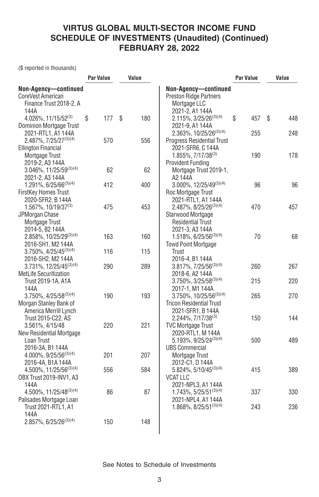(\$ reported in thousands)

|                                                                                            | <b>Par Value</b> | Value     |                                                                                           | <b>Par Value</b> | Value     |
|--------------------------------------------------------------------------------------------|------------------|-----------|-------------------------------------------------------------------------------------------|------------------|-----------|
| Non-Agency-continued<br>CoreVest American<br>Finance Trust 2018-2, A                       |                  |           | Non-Agency-continued<br><b>Preston Ridge Partners</b><br>Mortgage LLC                     |                  |           |
| 144A<br>$4.026\%$ , 11/15/52 <sup>(3)</sup><br><b>Dominion Mortgage Trust</b>              | \$<br>177        | \$<br>180 | 2021-2, A1 144A<br>$2.115\%, 3/25/26^{(3)(4)}$<br>2021-9, A1 144A                         | \$<br>457        | 448<br>\$ |
| 2021-RTL1, A1 144A<br>2.487%, 7/25/27 <sup>(3)(4)</sup>                                    | 570              | 556       | 2.363%, 10/25/26 <sup>(3)(4)</sup><br><b>Progress Residential Trust</b>                   | 255              | 248       |
| <b>Ellington Financial</b><br>Mortgage Trust<br>2019-2, A3 144A                            |                  |           | 2021-SFR6, C 144A<br>$1.855\%, 7/17/38^{(3)}$<br><b>Provident Funding</b>                 | 190              | 178       |
| 3.046%, 11/25/59(3)(4)<br>2021-2, A3 144A                                                  | 62               | 62        | Mortgage Trust 2019-1.<br>A2 144A                                                         |                  |           |
| 1.291%, 6/25/66(3)(4)<br><b>FirstKey Homes Trust</b><br>2020-SFR2, B 144A                  | 412              | 400       | $3.000\%, 12/25/49^{(3)(4)}$<br>Roc Mortgage Trust<br>2021-RTL1, A1 144A                  | 96               | 96        |
| $1.567\%$ , 10/19/37 <sup>(3)</sup><br>JPMorgan Chase<br>Mortgage Trust<br>2014-5. B2 144A | 475              | 453       | 2.487%, 8/25/26(3)(4)<br>Starwood Mortgage<br><b>Residential Trust</b><br>2021-3, A3 144A | 470              | 457       |
| 2.858%, 10/25/29(3)(4)<br>2016-SH1, M2 144A                                                | 163              | 160       | $1.518\%, 6/25/56^{(3)(4)}$<br><b>Towd Point Mortgage</b>                                 | 70               | 68        |
| $3.750\%$ , $4/25/45^{(3)(4)}$<br>2016-SH2, M2 144A                                        | 116              | 115       | Trust<br>2016-4, B1 144A                                                                  |                  |           |
| 3.731%, 12/25/45(3)(4)<br><b>MetLife Securitization</b>                                    | 290              | 289       | $3.817\%$ , $7/25/56^{(3)(4)}$<br>2018-6, A2 144A                                         | 260              | 267       |
| Trust 2019-1A, A1A<br>144A                                                                 |                  |           | $3.750\%, 3/25/58^{(3)(4)}$<br>2017-1, M1 144A                                            | 215              | 220       |
| $3.750\%$ , $4/25/58^{(3)(4)}$<br>Morgan Stanley Bank of<br>America Merrill Lynch          | 190              | 193       | 3.750%, 10/25/56(3)(4)<br><b>Tricon Residential Trust</b><br>2021-SFR1, B 144A            | 265              | 270       |
| Trust 2015-C22, AS<br>3.561%, 4/15/48<br><b>New Residential Mortgage</b>                   | 220              | 221       | $2.244\%, 7/17/38^{(3)}$<br><b>TVC Mortgage Trust</b><br>2020-RTL1, M 144A                | 150              | 144       |
| Loan Trust<br>2016-3A, B1 144A<br>4.000%, 9/25/56(3)(4)                                    | 201              | 207       | $5.193\%$ , 9/25/24 <sup>(3)(4)</sup><br><b>UBS Commercial</b><br>Mortgage Trust          | 500              | 489       |
| 2016-4A, B1A 144A<br>4.500%, 11/25/56(3)(4)<br>OBX Trust 2019-INV1, A3                     | 556              | 584       | 2012-C1, D 144A<br>$5.824\%$ , 5/10/45 <sup>(3)(4)</sup><br><b>VCAT LLC</b>               | 415              | 389       |
| 144A<br>4.500%, 11/25/48(3)(4)<br>Palisades Mortgage Loan                                  | 86               | 87        | 2021-NPL3, A1 144A<br>$1.743\%$ , 5/25/51 <sup>(3)(4)</sup><br>2021-NPL4, A1 144A         | 337              | 330       |
| Trust 2021-RTL1, A1<br>144A                                                                |                  |           | $1.868\%$ , 8/25/51(3)(4)                                                                 | 243              | 236       |
| $2.857\%$ , 6/25/26 <sup>(3)(4)</sup>                                                      | 150              | 148       |                                                                                           |                  |           |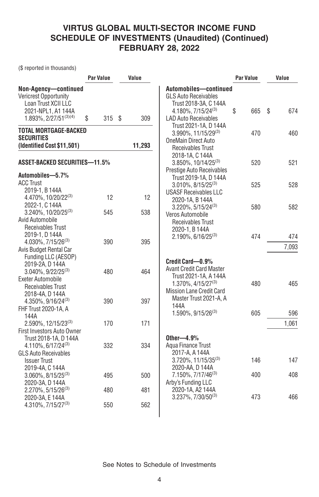(\$ reported in thousands)

|                                                                                                                               | Par Value  | Value  |                                                                                                                                       | <b>Par Value</b> |            | Value        |
|-------------------------------------------------------------------------------------------------------------------------------|------------|--------|---------------------------------------------------------------------------------------------------------------------------------------|------------------|------------|--------------|
| Non-Agency-continued<br>Vericrest Opportunity<br>Loan Trust XCII LLC<br>2021-NPL1, A1 144A                                    |            |        | Automobiles-continued<br><b>GLS Auto Receivables</b><br>Trust 2018-3A, C 144A<br>$4.180\%$ , $7/15/24^{(3)}$                          | \$               | 665        | \$<br>674    |
| $1.893\%, 2/27/51^{(3)(4)}$                                                                                                   | \$<br>315S | 309    | <b>LAD Auto Receivables</b><br>Trust 2021-1A, D 144A                                                                                  |                  |            |              |
| <b>TOTAL MORTGAGE-BACKED</b><br><b>SECURITIES</b><br>(Identified Cost \$11,501)                                               |            | 11,293 | $3.990\%$ , 11/15/29 <sup>(3)</sup><br><b>OneMain Direct Auto</b><br><b>Receivables Trust</b>                                         |                  | 470        | 460          |
| ASSET-BACKED SECURITIES-11.5%<br>Automobiles-5.7%                                                                             |            |        | 2018-1A, C 144A<br>$3.850\%$ , $10/14/25^{(3)}$<br>Prestige Auto Receivables<br>Trust 2019-1A, D 144A                                 |                  | 520        | 521          |
| <b>ACC Trust</b><br>2019-1. B 144A<br>4.470%, 10/20/22(3)                                                                     | 12         | 12     | $3.010\%$ , $8/15/25^{(3)}$<br><b>USASF Receivables LLC</b><br>2020-1A, B 144A                                                        |                  | 525        | 528          |
| 2022-1, C 144A<br>3.240%, 10/20/25(3)<br>Avid Automobile<br>Receivables Trust                                                 | 545        | 538    | $3.220\%$ , 5/15/24 <sup>(3)</sup><br>Veros Automobile<br>Receivables Trust                                                           |                  | 580        | 582          |
| 2019-1, D 144A<br>$4.030\%$ , $7/15/26^{(3)}$<br>Avis Budget Rental Car                                                       | 390        | 395    | 2020-1, B 144A<br>$2.190\%$ , 6/16/25 <sup>(3)</sup>                                                                                  |                  | 474        | 474<br>7,093 |
| Funding LLC (AESOP)<br>2019-2A, D 144A<br>$3.040\%$ , 9/22/25 <sup>(3)</sup><br><b>Exeter Automobile</b><br>Receivables Trust | 480        | 464    | Credit Card-0.9%<br><b>Avant Credit Card Master</b><br>Trust 2021-1A, A 144A<br>1.370%, 4/15/27(3)<br><b>Mission Lane Credit Card</b> |                  | 480        | 465          |
| 2018-4A, D 144A<br>4.350%, 9/16/24(3)<br>FHF Trust 2020-1A, A<br>144A                                                         | 390        | 397    | Master Trust 2021-A, A<br>144A<br>$1.590\%$ , $9/15/26^{(3)}$                                                                         |                  | 605        | 596          |
| 2.590%, 12/15/23(3)<br>First Investors Auto Owner                                                                             | 170        | 171    |                                                                                                                                       |                  |            | 1,061        |
| Trust 2018-1A, D 144A<br>4.110%, 6/17/24 <sup>(3)</sup><br><b>GLS Auto Receivables</b>                                        | 332        | 334    | Other $-4.9%$<br>Agua Finance Trust<br>2017-A, A 144A                                                                                 |                  |            |              |
| <b>Issuer Trust</b><br>2019-4A, C 144A<br>$3.060\%$ , $8/15/25^{(3)}$                                                         | 495        | 500    | $3.720\%$ , 11/15/35 <sup>(3)</sup><br>2020-AA, D 144A<br>7.150%, 7/17/46 <sup>(3)</sup>                                              |                  | 146<br>400 | 147<br>408   |
| 2020-3A, D 144A<br>$2.270\%$ , 5/15/26 <sup>(3)</sup><br>2020-3A, E 144A                                                      | 480        | 481    | Arby's Funding LLC<br>2020-1A, A2 144A<br>3.237%, 7/30/50(3)                                                                          |                  | 473        | 466          |
| $4.310\%, 7/15/27^{(3)}$                                                                                                      | 550        | 562    |                                                                                                                                       |                  |            |              |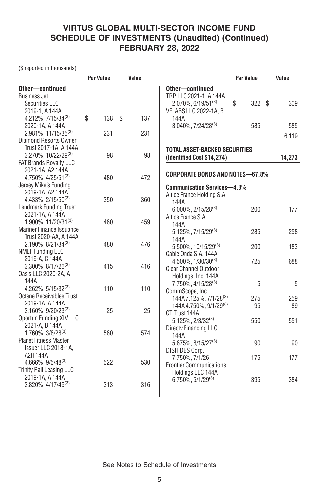(\$ reported in thousands)

|                                     | Par Value | Value     |                                        | <b>Par Value</b> | Value  |
|-------------------------------------|-----------|-----------|----------------------------------------|------------------|--------|
| Other-continued                     |           |           | Other-continued                        |                  |        |
| <b>Business Jet</b>                 |           |           | TRP LLC 2021-1, A 144A                 |                  |        |
| <b>Securities LLC</b>               |           |           | $2.070\%$ , 6/19/51 <sup>(3)</sup>     | \$<br>322S       | 309    |
| 2019-1, A 144A                      |           |           | VFI ABS LLC 2022-1A, B                 |                  |        |
| $4.212\%$ , $7/15/34^{(3)}$         | \$<br>138 | \$<br>137 | 144A                                   |                  |        |
| 2020-1A, A 144A                     |           |           | $3.040\%$ , $7/24/28^{(3)}$            | 585              | 585    |
| $2.981\%$ , 11/15/35 <sup>(3)</sup> | 231       | 231       |                                        |                  | 6,119  |
| Diamond Resorts Owner               |           |           |                                        |                  |        |
| Trust 2017-1A, A 144A               |           |           | <b>TOTAL ASSET-BACKED SECURITIES</b>   |                  |        |
| $3.270\%$ , 10/22/29 <sup>(3)</sup> | 98        | 98        | (Identified Cost \$14,274)             |                  | 14,273 |
| <b>FAT Brands Royalty LLC</b>       |           |           |                                        |                  |        |
| 2021-1A, A2 144A                    |           |           | <b>CORPORATE BONDS AND NOTES-67.8%</b> |                  |        |
| 4.750%, 4/25/51 <sup>(3)</sup>      | 480       | 472       |                                        |                  |        |
| Jersey Mike's Funding               |           |           | <b>Communication Services-4.3%</b>     |                  |        |
| 2019-1A, A2 144A                    |           |           | Altice France Holding S.A.             |                  |        |
| $4.433\%, 2/15/50^{(3)}$            | 350       | 360       | 144A                                   |                  |        |
| Lendmark Funding Trust              |           |           | $6.000\%$ , 2/15/28 <sup>(3)</sup>     | 200              | 177    |
| 2021-1A, A 144A                     |           |           | Altice France S.A.                     |                  |        |
| 1.900%, 11/20/31(3)                 | 480       | 459       | 144A                                   |                  |        |
| <b>Mariner Finance Issuance</b>     |           |           | 5.125%, 7/15/29(3)                     | 285              | 258    |
| Trust 2020-AA, A 144A               |           |           | 144A                                   |                  |        |
| $2.190\%$ , $8/21/34^{(3)}$         | 480       | 476       | 5.500%, 10/15/29 <sup>(3)</sup>        | 200              | 183    |
| <b>NMEF Funding LLC</b>             |           |           | Cable Onda S.A. 144A                   |                  |        |
| 2019-A, C 144A                      |           |           | $4.500\%$ , $1/30/30^{(3)}$            | 725              | 688    |
| $3.300\%$ , $8/17/26^{(3)}$         | 415       | 416       | <b>Clear Channel Outdoor</b>           |                  |        |
| Oasis LLC 2020-2A, A                |           |           | Holdings, Inc. 144A                    |                  |        |
| 144A                                |           |           | 7.750%, 4/15/28 <sup>(3)</sup>         | 5                | 5      |
| $4.262\%$ , $5/15/32^{(3)}$         | 110       | 110       | CommScope, Inc.                        |                  |        |
| <b>Octane Receivables Trust</b>     |           |           | 144A 7.125%, 7/1/28 <sup>(3)</sup>     | 275              | 259    |
| 2019-1A, A 144A                     |           |           | 144A 4.750%, 9/1/29 <sup>(3)</sup>     | 95               | 89     |
| $3.160\%$ , $9/20/23^{(3)}$         | 25        | 25        | CT Trust 144A                          |                  |        |
| Oportun Funding XIV LLC             |           |           | $5.125\%$ , $2/3/32^{(3)}$             | 550              | 551    |
| 2021-A, B 144A                      |           |           | Directy Financing LLC                  |                  |        |
| $1.760\%$ , $3/8/28^{(3)}$          | 580       | 574       | 144A                                   |                  |        |
| <b>Planet Fitness Master</b>        |           |           | $5.875\%$ , $8/15/27^{(3)}$            | 90               | 90     |
| Issuer LLC 2018-1A,                 |           |           | DISH DBS Corp.                         |                  |        |
| A2II 144A                           |           |           | 7.750%, 7/1/26                         | 175              | 177    |
| 4.666%, 9/5/48(3)                   | 522       | 530       | <b>Frontier Communications</b>         |                  |        |
| Trinity Rail Leasing LLC            |           |           | Holdings LLC 144A                      |                  |        |
| 2019-1A, A 144A                     |           |           | $6.750\%, 5/1/29^{(3)}$                | 395              | 384    |
| 3.820%, 4/17/49 <sup>(3)</sup>      | 313       | 316       |                                        |                  |        |
|                                     |           |           |                                        |                  |        |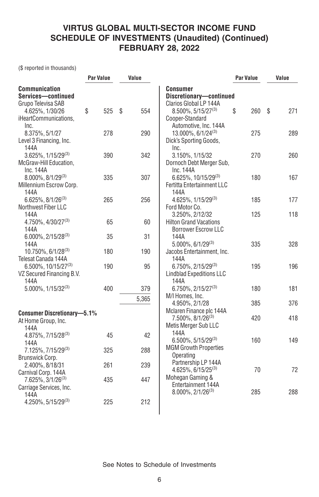(\$ reported in thousands)

|                                                                          | Par Value  | Value        |                                                                                | Par Value | Value     |
|--------------------------------------------------------------------------|------------|--------------|--------------------------------------------------------------------------------|-----------|-----------|
| <b>Communication</b><br>Services-continued<br>Grupo Televisa SAB         |            |              | Consumer<br>Discretionary-continued<br>Clarios Global LP 144A                  |           |           |
| 4.625%, 1/30/26<br>iHeartCommunications,                                 | \$<br>525  | \$<br>554    | $8.500\%$ , 5/15/27 <sup>(3)</sup><br>Cooper-Standard                          | \$<br>260 | \$<br>271 |
| Inc.<br>8.375%, 5/1/27                                                   | 278        | 290          | Automotive, Inc. 144A<br>$13.000\%$ , 6/1/24 <sup>(3)</sup>                    | 275       | 289       |
| Level 3 Financing, Inc.<br>144A<br>$3.625\%$ , $1/15/29^{(3)}$           | 390        | 342          | Dick's Sporting Goods,<br>Inc.<br>3.150%, 1/15/32                              | 270       | 260       |
| McGraw-Hill Education,<br>Inc. 144A                                      |            |              | Dornoch Debt Merger Sub,<br>Inc. 144A                                          |           |           |
| $8.000\%$ , $8/1/29^{(3)}$<br>Millennium Escrow Corp.<br>144A            | 335        | 307          | $6.625\%$ , 10/15/29 <sup>(3)</sup><br>Fertitta Entertainment LLC<br>144A      | 180       | 167       |
| $6.625\%$ , $8/1/26^{(3)}$<br>Northwest Fiber LLC                        | 265        | 256          | 4.625%, 1/15/29(3)<br>Ford Motor Co.                                           | 185       | 177       |
| 144A<br>4.750%, 4/30/27(3)<br>144A                                       | 65         | 60           | 3.250%, 2/12/32<br><b>Hilton Grand Vacations</b><br><b>Borrower Escrow LLC</b> | 125       | 118       |
| $6.000\%$ , 2/15/28 <sup>(3)</sup><br>144A                               | 35         | 31           | 144A<br>$5.000\%$ , 6/1/29 <sup>(3)</sup>                                      | 335       | 328       |
| 10.750%, 6/1/28(3)<br>Telesat Canada 144A                                | 180        | 190          | Jacobs Entertainment, Inc.<br>144A                                             |           |           |
| $6.500\%$ , 10/15/27 <sup>(3)</sup><br>VZ Secured Financing B.V.<br>144A | 190        | 95           | 6.750%, 2/15/29(3)<br><b>Lindblad Expeditions LLC</b><br>144A                  | 195       | 196       |
| $5.000\%$ , $1/15/32^{(3)}$                                              | 400        | 379<br>5,365 | $6.750\%$ , 2/15/27 <sup>(3)</sup><br>M/I Homes, Inc.                          | 180       | 181       |
| <b>Consumer Discretionary-5.1%</b>                                       |            |              | 4.950%, 2/1/28<br>Mclaren Finance plc 144A                                     | 385       | 376       |
| At Home Group, Inc.<br>144A                                              |            |              | 7.500%, 8/1/26 <sup>(3)</sup><br>Metis Merger Sub LLC<br>144A                  | 420       | 418       |
| 4.875%, 7/15/28(3)<br>144A                                               | 45         | 42           | $6.500\%$ , 5/15/29 <sup>(3)</sup><br><b>MGM Growth Properties</b>             | 160       | 149       |
| 7.125%, 7/15/29(3)<br>Brunswick Corp.                                    | 325        | 288          | Operating<br>Partnership LP 144A                                               |           |           |
| 2.400%, 8/18/31<br>Carnival Corp. 144A<br>7.625%, 3/1/26(3)              | 261<br>435 | 239<br>447   | $4.625\%$ , 6/15/25 <sup>(3)</sup><br>Mohegan Gaming &                         | 70        | 72        |
| Carriage Services, Inc.<br>144A                                          |            |              | Entertainment 144A<br>8.000%, 2/1/26(3)                                        | 285       | 288       |
| $4.250\%$ , 5/15/29 <sup>(3)</sup>                                       | 225        | 212          |                                                                                |           |           |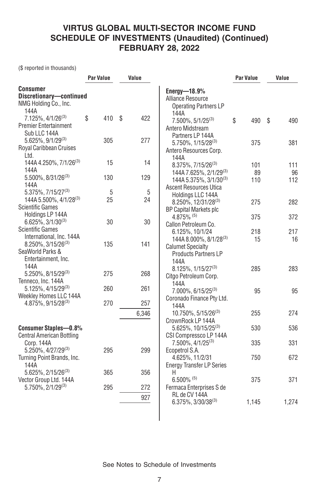(\$ reported in thousands)

|                                                                                                               | Par Value  | Value      |                                                                                                           | Par Value | Value     |
|---------------------------------------------------------------------------------------------------------------|------------|------------|-----------------------------------------------------------------------------------------------------------|-----------|-----------|
| <b>Consumer</b><br>Discretionary-continued<br>NMG Holding Co., Inc.<br>144A                                   |            |            | Energy- $18.9\%$<br>Alliance Resource<br><b>Operating Partners LP</b>                                     |           |           |
| $7.125\%$ , 4/1/26 <sup>(3)</sup><br><b>Premier Entertainment</b><br>Sub LLC 144A                             | \$<br>410  | 422<br>\$  | 144A<br>$7.500\%$ , $5/1/25^{(3)}$<br>Antero Midstream<br>Partners LP 144A                                | \$<br>490 | \$<br>490 |
| $5.625\%$ , $9/1/29^{(3)}$<br>Royal Caribbean Cruises<br>Ltd.                                                 | 305        | 277        | 5.750%, 1/15/28 <sup>(3)</sup><br>Antero Resources Corp.<br>144A                                          | 375       | 381       |
| 144A 4.250%, 7/1/26 <sup>(3)</sup>                                                                            | 15         | 14         | 8.375%, 7/15/26(3)                                                                                        | 101       | 111       |
| 144A<br>$5.500\%$ , $8/31/26^{(3)}$<br>144A                                                                   | 130        | 129        | 144A 7.625%, 2/1/29 <sup>(3)</sup><br>144A 5.375%, 3/1/30 <sup>(3)</sup><br><b>Ascent Resources Utica</b> | 89<br>110 | 96<br>112 |
| 5.375%, 7/15/27 <sup>(3)</sup><br>144A 5.500%, 4/1/28 <sup>(3)</sup><br><b>Scientific Games</b>               | 5<br>25    | 5<br>24    | Holdings LLC 144A<br>8.250%, 12/31/28(3)                                                                  | 275       | 282       |
| Holdings LP 144A<br>$6.625\%, 3/1/30^{(3)}$                                                                   | 30         | 30         | <b>BP Capital Markets plc</b><br>$4.875\%$ <sup>(5)</sup><br>Callon Petroleum Co.                         | 375       | 372       |
| <b>Scientific Games</b><br>International, Inc. 144A<br>$8.250\%$ , 3/15/26 <sup>(3)</sup><br>SeaWorld Parks & | 135        | 141        | 6.125%, 10/1/24<br>144A 8.000%, 8/1/28 <sup>(3)</sup><br><b>Calumet Specialty</b>                         | 218<br>15 | 217<br>16 |
| Entertainment, Inc.<br>144A<br>5.250%, 8/15/29(3)                                                             | 275        | 268        | <b>Products Partners LP</b><br>144A<br>$8.125\%$ , $1/15/27^{(3)}$                                        | 285       | 283       |
| Tenneco, Inc. 144A<br>5.125%, 4/15/29 <sup>(3)</sup><br>Weekley Homes LLC 144A                                | 260        | 261        | Citgo Petroleum Corp.<br>144A<br>7.000%, 6/15/25(3)                                                       | 95        | 95        |
| 4.875%, 9/15/28(3)                                                                                            | 270        | 257        | Coronado Finance Pty Ltd.<br>144A                                                                         |           |           |
|                                                                                                               |            | 6,346      | 10.750%, 5/15/26(3)<br>CrownRock LP 144A                                                                  | 255       | 274       |
| <b>Consumer Staples-0.8%</b><br><b>Central American Bottling</b>                                              |            |            | $5.625\%$ , 10/15/25 <sup>(3)</sup><br>CSI Compressco LP 144A                                             | 530       | 536       |
| Corp. 144A<br>5.250%, 4/27/29(3)                                                                              | 295        | 299        | 7.500%, 4/1/25 <sup>(3)</sup><br>Ecopetrol S.A.                                                           | 335       | 331       |
| Turning Point Brands, Inc.<br>144A                                                                            |            |            | 4.625%, 11/2/31<br><b>Energy Transfer LP Series</b>                                                       | 750       | 672       |
| 5.625%, 2/15/26 <sup>(3)</sup><br>Vector Group Ltd. 144A<br>$5.750\%$ , $2/1/29^{(3)}$                        | 365<br>295 | 356<br>272 | Н<br>$6.500\%$ <sup>(5)</sup><br>Fermaca Enterprises S de                                                 | 375       | 371       |
|                                                                                                               |            | 927        | RL de CV 144A<br>$6.375\%$ , 3/30/38 <sup>(3)</sup>                                                       | 1,145     | 1,274     |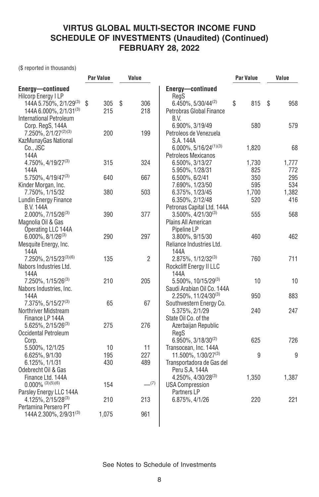(\$ reported in thousands)

|                                          | <b>Par Value</b> | Value          |                                             | Par Value | Value     |
|------------------------------------------|------------------|----------------|---------------------------------------------|-----------|-----------|
| Energy-continued                         |                  |                | Energy-continued                            |           |           |
| <b>Hilcorp Energy I LP</b>               |                  |                | RegS                                        |           |           |
| 144A 5.750%, 2/1/29 <sup>(3)</sup>       | \$<br>305        | \$<br>306      | $6.450\%$ , 5/30/44 <sup>(2)</sup>          | \$<br>815 | \$<br>958 |
| 144A 6.000%, 2/1/31 <sup>(3)</sup>       | 215              | 218            | Petrobras Global Finance                    |           |           |
| <b>International Petroleum</b>           |                  |                | B.V.                                        |           |           |
| Corp. RegS, 144A                         |                  |                | 6.900%, 3/19/49                             | 580       | 579       |
| 7.250%, 2/1/27 <sup>(2)(3)</sup>         | 200              | 199            | Petroleos de Venezuela                      |           |           |
| KazMunayGas National                     |                  |                | S.A. 144A                                   |           |           |
| Co., JSC                                 |                  |                | $6.000\%$ , $5/16/24^{(1)(3)}$              | 1,820     | 68        |
| 144A                                     |                  |                | Petroleos Mexicanos                         |           |           |
| $4.750\%$ , $4/19/27^{(3)}$              | 315              | 324            | 6.500%, 3/13/27                             | 1,730     | 1,777     |
| 144A                                     |                  |                | 5.950%, 1/28/31                             | 825       | 772       |
| 5.750%, 4/19/47 <sup>(3)</sup>           | 640              | 667            | 6.500%, 6/2/41                              | 350       | 295       |
| Kinder Morgan, Inc.                      |                  |                | 7.690%, 1/23/50                             | 595       | 534       |
| 7.750%, 1/15/32                          | 380              | 503            | 6.375%, 1/23/45                             | 1,700     | 1,382     |
| <b>Lundin Energy Finance</b>             |                  |                | 6.350%, 2/12/48                             | 520       | 416       |
| <b>B.V. 144A</b>                         |                  |                | Petronas Capital Ltd. 144A                  |           |           |
| $2.000\%$ , $7/15/26^{(3)}$              | 390              | 377            | $3.500\%$ , $4/21/30^{(3)}$                 | 555       | 568       |
| Magnolia Oil & Gas<br>Operating LLC 144A |                  |                | Plains All American<br>Pipeline LP          |           |           |
| $6.000\%$ , $8/1/26^{(3)}$               | 290              | 297            |                                             | 460       | 462       |
| Mesquite Energy, Inc.                    |                  |                | 3.800%, 9/15/30<br>Reliance Industries Ltd. |           |           |
| 144A                                     |                  |                | 144A                                        |           |           |
| 7.250%, 2/15/23(3)(6)                    | 135              | $\overline{2}$ | $2.875\%$ , $1/12/32^{(3)}$                 | 760       | 711       |
| Nabors Industries Ltd.                   |                  |                | Rockcliff Energy II LLC                     |           |           |
| 144A                                     |                  |                | 144A                                        |           |           |
| $7.250\%$ , $1/15/26^{(3)}$              | 210              | 205            | 5.500%, 10/15/29(3)                         | 10        | 10        |
| Nabors Industries, Inc.                  |                  |                | Saudi Arabian Oil Co. 144A                  |           |           |
| 144A                                     |                  |                | 2.250%, 11/24/30 <sup>(3)</sup>             | 950       | 883       |
| 7.375%, 5/15/27 <sup>(3)</sup>           | 65               | 67             | Southwestern Energy Co.                     |           |           |
| Northriver Midstream                     |                  |                | 5.375%, 2/1/29                              | 240       | 247       |
| Finance LP 144A                          |                  |                | State Oil Co. of the                        |           |           |
| 5.625%, 2/15/26(3)                       | 275              | 276            | Azerbaijan Republic                         |           |           |
| Occidental Petroleum                     |                  |                | RegS                                        |           |           |
| Corp.                                    |                  |                | $6.950\%, 3/18/30^{(2)}$                    | 625       | 726       |
| 5.500%, 12/1/25                          | 10               | 11             | Transocean, Inc. 144A                       |           |           |
| 6.625%, 9/1/30                           | 195              | 227            | 11.500%, 1/30/27 <sup>(3)</sup>             | 9         | 9         |
| 6.125%, 1/1/31                           | 430              | 489            | Transportadora de Gas del                   |           |           |
| Odebrecht Oil & Gas                      |                  |                | Peru S.A. 144A                              |           |           |
| Finance Ltd. 144A                        |                  |                | $4.250\%$ , $4/30/28^{(3)}$                 | 1,350     | 1,387     |
| $0.000\%$ (3)(5)(6)                      | 154              | $-^{(7)}$      | <b>USA Compression</b>                      |           |           |
| Parsley Energy LLC 144A                  |                  |                | Partners LP                                 |           |           |
| $4.125\%$ , $2/15/28^{(3)}$              | 210              | 213            | 6.875%, 4/1/26                              | 220       | 221       |
| Pertamina Persero PT                     |                  |                |                                             |           |           |
| 144A 2.300%, 2/9/31 <sup>(3)</sup>       | 1,075            | 961            |                                             |           |           |
|                                          |                  |                |                                             |           |           |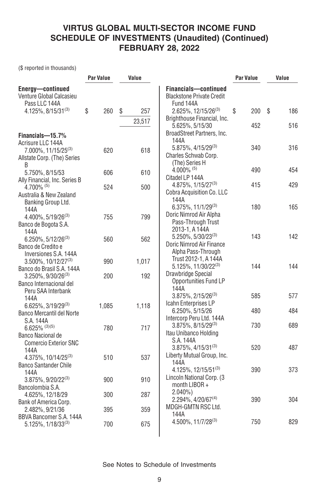(\$ reported in thousands)

| <b>Par Value</b>               | Value                    |                                                                       | Par Value                                                                                                                                                                                                                                                                                                               | Value     |
|--------------------------------|--------------------------|-----------------------------------------------------------------------|-------------------------------------------------------------------------------------------------------------------------------------------------------------------------------------------------------------------------------------------------------------------------------------------------------------------------|-----------|
|                                |                          | Financials-continued<br><b>Blackstone Private Credit</b><br>Fund 144A |                                                                                                                                                                                                                                                                                                                         |           |
| \$<br>260                      | \$<br>257                | 2.625%, 12/15/26(3)                                                   | \$<br>200                                                                                                                                                                                                                                                                                                               | \$<br>186 |
|                                |                          | 5.625%, 5/15/30                                                       | 452                                                                                                                                                                                                                                                                                                                     | 516       |
|                                |                          | 144A                                                                  |                                                                                                                                                                                                                                                                                                                         |           |
| 620                            | 618                      | 5.875%, 4/15/29(3)<br>Charles Schwab Corp.<br>(The) Series H          | 340                                                                                                                                                                                                                                                                                                                     | 316       |
| 606                            | 610                      | 4.000% $(5)$                                                          | 490                                                                                                                                                                                                                                                                                                                     | 454       |
| 524                            | 500                      | $4.875\%$ , $1/15/27^{(3)}$<br>Cobra Acquisition Co. LLC              | 415                                                                                                                                                                                                                                                                                                                     | 429       |
| 755                            | 799                      | 6.375%, 11/1/29(3)<br>Doric Nimrod Air Alpha                          | 180                                                                                                                                                                                                                                                                                                                     | 165       |
| 560                            | 562                      | 2013-1, A 144A<br>5.250%, 5/30/23(3)                                  | 143                                                                                                                                                                                                                                                                                                                     | 142       |
|                                |                          | Alpha Pass-Through<br>Trust 2012-1, A 144A                            |                                                                                                                                                                                                                                                                                                                         |           |
| 200                            | 192                      | Drawbridge Special<br>Opportunities Fund LP                           |                                                                                                                                                                                                                                                                                                                         | 144       |
|                                |                          | $3.875\%$ , $2/15/26^{(3)}$                                           | 585                                                                                                                                                                                                                                                                                                                     | 577       |
| 1,085                          | 1,118                    | 6.250%, 5/15/26                                                       | 480                                                                                                                                                                                                                                                                                                                     | 484       |
| 780                            | 717                      | $3.875\%$ , $8/15/29^{(3)}$<br>Itau Unibanco Holding                  | 730                                                                                                                                                                                                                                                                                                                     | 689       |
| 510                            | 537                      | $3.875\%$ , 4/15/31 <sup>(3)</sup><br>Liberty Mutual Group, Inc.      | 520                                                                                                                                                                                                                                                                                                                     | 487       |
|                                |                          | 4.125%, 12/15/51 <sup>(3)</sup>                                       | 390                                                                                                                                                                                                                                                                                                                     | 373       |
|                                |                          | month LIBOR +                                                         |                                                                                                                                                                                                                                                                                                                         |           |
|                                |                          | $2.294\%$ , 4/20/67 <sup>(4)</sup>                                    | 390                                                                                                                                                                                                                                                                                                                     | 304       |
| BBVA Bancomer S.A. 144A<br>700 | 675                      | 144A<br>$4.500\%$ , $11/7/28^{(3)}$                                   | 750                                                                                                                                                                                                                                                                                                                     | 829       |
| Ally Financial, Inc. Series B  | 990<br>900<br>300<br>395 | 23,517<br>1,017<br>910<br>287<br>359                                  | Brighthouse Financial, Inc.<br>BroadStreet Partners, Inc.<br>Citadel LP 144A<br>144A<br>Pass-Through Trust<br>Doric Nimrod Air Finance<br>$5.125\%, 11/30/22^{(3)}$<br>144A<br>Icahn Enterprises LP<br>Intercorp Peru Ltd. 144A<br>S.A. 144A<br>144A<br>Lincoln National Corp. (3)<br>$2.040\%$ )<br>MDGH-GMTN RSC Ltd. | 144       |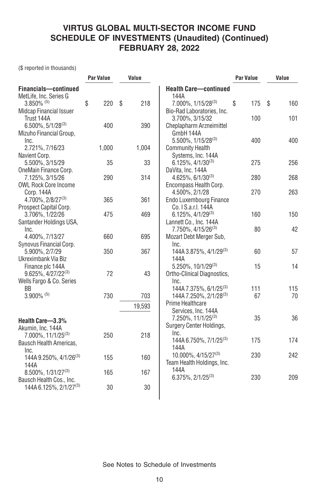(\$ reported in thousands)

|                                                                   | <b>Par Value</b> | Value     |                                                                          | <b>Par Value</b> | Value     |
|-------------------------------------------------------------------|------------------|-----------|--------------------------------------------------------------------------|------------------|-----------|
| Financials-continued<br>MetLife, Inc. Series G                    |                  |           | <b>Health Care-continued</b><br>144A                                     |                  |           |
| $3.850\%$ <sup>(5)</sup><br><b>Midcap Financial Issuer</b>        | \$<br>220        | \$<br>218 | $7.000\%$ , $1/15/28^{(3)}$<br>Bio-Rad Laboratories, Inc.                | \$<br>175        | \$<br>160 |
| Trust 144A<br>$6.500\%$ , $5/1/28^{(3)}$                          | 400              | 390       | 3.700%, 3/15/32<br>Cheplapharm Arzneimittel                              | 100              | 101       |
| Mizuho Financial Group,                                           |                  |           | GmbH 144A<br>$5.500\%$ , $1/15/28^{(3)}$                                 | 400              | 400       |
| Inc.<br>2.721%, 7/16/23                                           | 1,000            | 1,004     | <b>Community Health</b>                                                  |                  |           |
| Navient Corp.<br>5.500%, 3/15/29                                  | 35               | 33        | Systems, Inc. 144A<br>$6.125\%$ , $4/1/30^{(3)}$                         | 275              | 256       |
| OneMain Finance Corp.<br>7.125%, 3/15/26                          | 290              | 314       | DaVita, Inc. 144A<br>$4.625\%$ , 6/1/30 <sup>(3)</sup>                   | 280              | 268       |
| <b>OWL Rock Core Income</b><br>Corp. 144A                         |                  |           | Encompass Health Corp.<br>4.500%, 2/1/28                                 | 270              | 263       |
| 4.700%, 2/8/27(3)<br>Prospect Capital Corp.                       | 365              | 361       | Endo Luxembourg Finance<br>Co. I S.a.r.l. 144A                           |                  |           |
| 3.706%, 1/22/26<br>Santander Holdings USA,                        | 475              | 469       | $6.125\%$ , 4/1/29 <sup>(3)</sup><br>Lannett Co., Inc. 144A              | 160              | 150       |
| Inc.<br>4.400%, 7/13/27                                           | 660              | 695       | 7.750%, 4/15/26 <sup>(3)</sup><br>Mozart Debt Merger Sub.                | 80               | 42        |
| Synovus Financial Corp.<br>5.900%, 2/7/29                         | 350              | 367       | Inc.<br>144A 3.875%, 4/1/29 <sup>(3)</sup>                               | 60               | 57        |
| Ukreximbank Via Biz<br>Finance plc 144A                           |                  |           | 144A<br>$5.250\%$ , $10/1/29^{(3)}$                                      | 15               | 14        |
| $9.625\%, 4/27/22^{(3)}$<br>Wells Fargo & Co. Series              | 72               | 43        | Ortho-Clinical Diagnostics,<br>Inc.                                      |                  |           |
| BB<br>$3.900\%$ <sup>(5)</sup>                                    | 730              | 703       | 144A 7.375%, 6/1/25 <sup>(3)</sup><br>144A 7.250%, 2/1/28 <sup>(3)</sup> | 111<br>67        | 115<br>70 |
|                                                                   |                  | 19,593    | Prime Healthcare                                                         |                  |           |
| Health Care-3.3%<br>Akumin, Inc. 144A                             |                  |           | Services, Inc. 144A<br>7.250%, 11/1/25(3)<br>Surgery Center Holdings,    | 35               | 36        |
| 7.000%, 11/1/25 <sup>(3)</sup><br>Bausch Health Americas,<br>Inc. | 250              | 218       | Inc.<br>144A 6.750%, 7/1/25 <sup>(3)</sup><br>144A                       | 175              | 174       |
| 144A 9.250%, 4/1/26 <sup>(3)</sup><br>144A                        | 155              | 160       | $10.000\%$ , $4/15/27^{(3)}$<br>Team Health Holdings, Inc.               | 230              | 242       |
| 8.500%, 1/31/27 <sup>(3)</sup><br>Bausch Health Cos., Inc.        | 165              | 167       | 144A<br>$6.375\%, 2/1/25^{(3)}$                                          | 230              | 209       |
| 144A 6.125%, 2/1/27 <sup>(3)</sup>                                | 30               | 30        |                                                                          |                  |           |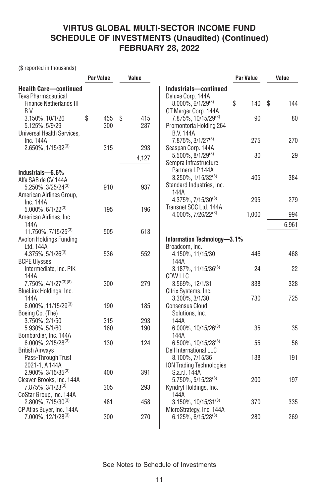(\$ reported in thousands)

|                                                                                              | <b>Par Value</b> | Value            |                                                                                                         | <b>Par Value</b> | Value     |
|----------------------------------------------------------------------------------------------|------------------|------------------|---------------------------------------------------------------------------------------------------------|------------------|-----------|
| <b>Health Care-continued</b><br><b>Teva Pharmaceutical</b><br><b>Finance Netherlands III</b> |                  |                  | Industrials-continued<br>Deluxe Corp. 144A<br>$8.000\%$ , 6/1/29 <sup>(3)</sup><br>OT Merger Corp. 144A | \$<br>140        | \$<br>144 |
| B.V.<br>3.150%, 10/1/26<br>5.125%, 5/9/29<br>Universal Health Services,                      | \$<br>455<br>300 | \$<br>415<br>287 | 7.875%, 10/15/29 <sup>(3)</sup><br>Promontoria Holding 264<br><b>B.V. 144A</b>                          | 90               | 80        |
| Inc. 144A<br>2.650%, 1/15/32(3)                                                              | 315              | 293              | 7.875%, 3/1/27 <sup>(3)</sup><br>Seaspan Corp. 144A                                                     | 275              | 270       |
|                                                                                              |                  | 4,127            | $5.500\%$ , $8/1/29^{(3)}$<br>Sempra Infrastructure                                                     | 30               | 29        |
| Industrials-5.6%<br>Alfa SAB de CV 144A<br>5.250%, 3/25/24(3)                                | 910              | 937              | Partners LP 144A<br>$3.250\%$ , $1/15/32^{(3)}$<br>Standard Industries, Inc.                            | 405              | 384       |
| American Airlines Group,<br>Inc. 144A                                                        |                  |                  | 144A<br>4.375%, 7/15/30(3)<br>Transnet SOC Ltd. 144A                                                    | 295              | 279       |
| $5.000\%$ , 6/1/22 <sup>(3)</sup><br>American Airlines, Inc.                                 | 195              | 196              | 4.000%, 7/26/22(3)                                                                                      | 1,000            | 994       |
| 144A<br>11.750%, 7/15/25 <sup>(3)</sup>                                                      | 505              | 613              |                                                                                                         |                  | 6,961     |
| Avolon Holdings Funding<br>Ltd. 144A                                                         |                  |                  | Information Technology-3.1%<br>Broadcom, Inc.                                                           |                  |           |
| $4.375\%, 5/1/26^{(3)}$<br><b>BCPE Ulysses</b>                                               | 536              | 552              | 4.150%, 11/15/30<br>144A                                                                                | 446              | 468       |
| Intermediate, Inc. PIK<br>144A                                                               |                  |                  | $3.187\%$ , 11/15/36 <sup>(3)</sup><br>CDW LLC                                                          | 24               | 22        |
| $7.750\%$ , $4/1/27^{(3)(8)}$<br>BlueLinx Holdings, Inc.                                     | 300              | 279              | 3.569%, 12/1/31<br>Citrix Systems, Inc.                                                                 | 338              | 328       |
| 144A<br>6.000%, 11/15/29(3)<br>Boeing Co. (The)                                              | 190              | 185              | 3.300%, 3/1/30<br><b>Consensus Cloud</b><br>Solutions, Inc.                                             | 730              | 725       |
| 3.750%, 2/1/50                                                                               | 315              | 293              | 144A                                                                                                    |                  |           |
| 5.930%, 5/1/60<br>Bombardier, Inc. 144A                                                      | 160              | 190              | 6.000%, 10/15/26(3)<br>144A                                                                             | 35               | 35        |
| $6.000\%$ , 2/15/28 <sup>(3)</sup><br><b>British Airways</b>                                 | 130              | 124              | $6.500\%$ , 10/15/28 <sup>(3)</sup><br>Dell International LLC                                           | 55               | 56        |
| Pass-Through Trust<br>2021-1, A 144A                                                         |                  |                  | 8.100%, 7/15/36<br><b>ION Trading Technologies</b>                                                      | 138              | 191       |
| $2.900\%$ , 3/15/35 <sup>(3)</sup><br>Cleaver-Brooks, Inc. 144A                              | 400              | 391              | S.a.r.l. 144A<br>5.750%, 5/15/28(3)                                                                     | 200              | 197       |
| 7.875%, 3/1/23 <sup>(3)</sup><br>CoStar Group, Inc. 144A                                     | 305              | 293              | Kyndryl Holdings, Inc.<br>144A                                                                          |                  |           |
| $2.800\%$ , $7/15/30^{(3)}$<br>CP Atlas Buyer, Inc. 144A                                     | 481              | 458              | $3.150\%$ , 10/15/31 <sup>(3)</sup><br>MicroStrategy, Inc. 144A                                         | 370              | 335       |
| 7.000%, 12/1/28(3)                                                                           | 300              | 270              | $6.125\%, 6/15/28^{(3)}$                                                                                | 280              | 269       |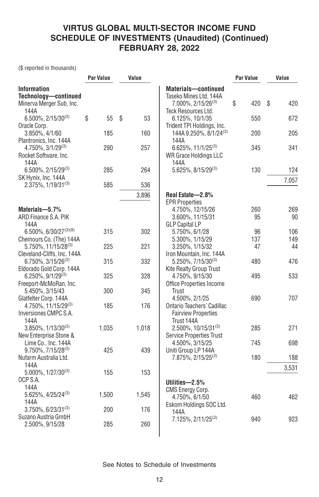(\$ reported in thousands)

|                                                                                           | Par Value | Value    |                                                                                 | <b>Par Value</b> | Value     |
|-------------------------------------------------------------------------------------------|-----------|----------|---------------------------------------------------------------------------------|------------------|-----------|
| <b>Information</b><br>Technology-continued<br>Minerva Merger Sub, Inc.                    |           |          | Materials-continued<br>Taseko Mines Ltd. 144A<br>7.000%, 2/15/26 <sup>(3)</sup> | \$<br>420        | S<br>420  |
| 144A<br>$6.500\%$ , 2/15/30 <sup>(3)</sup><br>Oracle Corp.                                | \$<br>55  | \$<br>53 | Teck Resources Ltd.<br>6.125%, 10/1/35<br>Trident TPI Holdings, Inc.            | 550              | 672       |
| 3.850%, 4/1/60<br>Plantronics, Inc. 144A                                                  | 185       | 160      | 144A 9.250%, 8/1/24 <sup>(3)</sup><br>144A                                      | 200              | 205       |
| 4.750%, 3/1/29 <sup>(3)</sup><br>Rocket Software, Inc.<br>144A                            | 290       | 257      | $6.625\%$ , 11/1/25 <sup>(3)</sup><br><b>WR Grace Holdings LLC</b><br>144A      | 345              | 341       |
| $6.500\%$ , 2/15/29 <sup>(3)</sup><br>SK Hynix, Inc. 144A                                 | 285       | 264      | 5.625%, 8/15/29(3)                                                              | 130              | 124       |
| $2.375\%$ , $1/19/31^{(3)}$                                                               | 585       | 536      |                                                                                 |                  | 7,057     |
|                                                                                           |           | 3,896    | Real Estate-2.8%<br><b>EPR Properties</b>                                       |                  |           |
| Materials-5.7%<br>ARD Finance S.A. PIK<br>144A                                            |           |          | 4.750%, 12/15/26<br>3.600%, 11/15/31<br><b>GLP Capital LP</b>                   | 260<br>95        | 269<br>90 |
| 6.500%, 6/30/27(3)(8)                                                                     | 315       | 302      | 5.750%, 6/1/28                                                                  | 96               | 106       |
| Chemours Co. (The) 144A                                                                   |           |          | 5.300%, 1/15/29                                                                 | 137              | 149       |
| 5.750%, 11/15/28 <sup>(3)</sup>                                                           | 225       | 221      | 3.250%, 1/15/32                                                                 | 47               | 44        |
| Cleveland-Cliffs, Inc. 144A<br>6.750%, 3/15/26 <sup>(3)</sup><br>Eldorado Gold Corp. 144A | 315       | 332      | Iron Mountain, Inc. 144A<br>5.250%, 7/15/30(3)<br>Kite Realty Group Trust       | 480              | 476       |
| $6.250\%$ , $9/1/29^{(3)}$<br>Freeport-McMoRan, Inc.                                      | 325       | 328      | 4.750%, 9/15/30<br><b>Office Properties Income</b>                              | 495              | 533       |
| 5.450%, 3/15/43<br>Glatfelter Corp. 144A                                                  | 300       | 345      | Trust<br>4.500%, 2/1/25                                                         | 690              | 707       |
| 4.750%, 11/15/29(3)<br>Inversiones CMPC S.A.<br>144A                                      | 185       | 176      | Ontario Teachers' Cadillac<br><b>Fairview Properties</b><br>Trust 144A          |                  |           |
| $3.850\%$ , $1/13/30^{(3)}$<br>New Enterprise Stone &                                     | 1,035     | 1,018    | 2.500%, 10/15/31(3)<br><b>Service Properties Trust</b>                          | 285              | 271       |
| Lime Co., Inc. 144A<br>$9.750\%$ , $7/15/28^{(3)}$                                        | 425       | 439      | 4.500%, 3/15/25<br>Uniti Group LP 144A                                          | 745              | 698       |
| Nufarm Australia Ltd.<br>144A                                                             |           |          | 7.875%, 2/15/25(3)                                                              | 180              | 188       |
| 5.000%, 1/27/30(3)<br>OCP S.A.                                                            | 155       | 153      | Utilities—2.5%                                                                  |                  | 3,531     |
| 144A<br>$5.625\%$ , 4/25/24 <sup>(3)</sup><br>144A                                        | 1,500     | 1,545    | <b>CMS Energy Corp.</b><br>4.750%, 6/1/50<br>Eskom Holdings SOC Ltd.            | 460              | 462       |
| $3.750\%$ , 6/23/31 <sup>(3)</sup><br>Suzano Austria GmbH                                 | 200       | 176      | 144A<br>$7.125\%$ , 2/11/25 <sup>(3)</sup>                                      | 940              | 923       |
| 2.500%, 9/15/28                                                                           | 285       | 260      |                                                                                 |                  |           |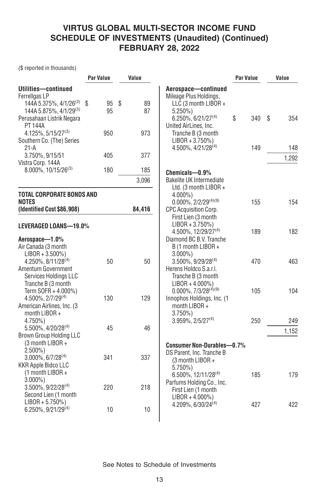(\$ reported in thousands)

|                                                                                                                                                                    | <b>Par Value</b> | Value          |                                                                                                                                         | Par Value | Value    |
|--------------------------------------------------------------------------------------------------------------------------------------------------------------------|------------------|----------------|-----------------------------------------------------------------------------------------------------------------------------------------|-----------|----------|
| Utilities-continued<br>Ferrellgas LP<br>144A 5.375%, 4/1/26 <sup>(3)</sup> \$<br>144A 5.875%, 4/1/29 <sup>(3)</sup><br>Perusahaan Listrik Negara<br><b>PT 144A</b> | 95<br>95         | \$<br>89<br>87 | Aerospace-continued<br>Mileage Plus Holdings,<br>LLC (3 month LIBOR +<br>$5.250\%$<br>$6.250\%, 6/21/27^{(4)}$<br>United AirLines, Inc. | \$<br>340 | S<br>354 |
| $4.125\%, 5/15/27^{(3)}$<br>Southern Co. (The) Series<br>21-A                                                                                                      | 950              | 973            | Tranche B (3 month<br>$LIBOR + 3.750\%)$<br>4.500%, 4/21/28 <sup>(4)</sup>                                                              | 149       | 148      |
| 3.750%, 9/15/51<br>Vistra Corp. 144A                                                                                                                               | 405              | 377            |                                                                                                                                         |           | 1,292    |
| 8.000%, 10/15/26(3)                                                                                                                                                | 180              | 185            | Chemicals-0.9%                                                                                                                          |           |          |
|                                                                                                                                                                    |                  | 3,096          | <b>Bakelite UK Intermediate</b><br>Ltd. (3 month LIBOR +                                                                                |           |          |
| <b>TOTAL CORPORATE BONDS AND</b><br>NOTES                                                                                                                          |                  |                | $4.000\%$ )<br>$0.000\%$ , 2/2/29 <sup>(4)(9)</sup>                                                                                     | 155       | 154      |
| (Identified Cost \$86,908)                                                                                                                                         |                  | 84,416         | <b>CPC Acquisition Corp.</b><br>First Lien (3 month                                                                                     |           |          |
| LEVERAGED LOANS-19.0%                                                                                                                                              |                  |                | $LIBOR + 3.750\%)$<br>4.500%, 12/29/27 <sup>(4)</sup>                                                                                   | 189       | 182      |
| Aerospace-1.0%<br>Air Canada (3 month<br>$LIBOR + 3.500\%)$                                                                                                        |                  |                | Diamond BC B.V. Tranche<br>B (1 month LIBOR +<br>$3.000\%$ )                                                                            |           |          |
| 4.250%, 8/11/28 <sup>(4)</sup><br>Amentum Government<br>Services Holdings LLC<br>Tranche B (3 month                                                                | 50               | 50             | $3.500\%$ , $9/29/28^{(4)}$<br>Herens Holdco S.a.r.l.<br>Tranche B (3 month<br>$LIBOR + 4.000\%)$                                       | 470       | 463      |
| Term SOFR + 4.000%)<br>4.500%, 2/7/29 <sup>(4)</sup><br>American Airlines, Inc. (3)<br>month LIBOR +                                                               | 130              | 129            | $0.000\%$ , $7/3/28^{(4)(9)}$<br>Innophos Holdings, Inc. (1)<br>month LIBOR +<br>$3.750\%$                                              | 105       | 104      |
| 4.750%)<br>5.500%, 4/20/28(4)                                                                                                                                      | 45               | 46             | $3.959\%$ , $2/5/27^{(4)}$                                                                                                              | 250       | 249      |
| Brown Group Holding LLC                                                                                                                                            |                  |                |                                                                                                                                         |           | 1,152    |
| (3 month LIBOR +<br>$2.500\%$<br>$3.000\%$ , 6/7/28 <sup>(4)</sup><br><b>KKR Apple Bidco LLC</b><br>(1 month LIBOR +                                               | 341              | 337            | <b>Consumer Non-Durables-0.7%</b><br>DS Parent, Inc. Tranche B<br>(3 month LIBOR +<br>$5.750\%$                                         |           |          |
| $3.000\%$ )<br>3.500%, 9/22/28 <sup>(4)</sup><br>Second Lien (1 month                                                                                              | 220              | 218            | $6.500\%$ , 12/11/28 <sup>(4)</sup><br>Parfums Holding Co., Inc.<br>First Lien (1 month<br>$LIBOR + 4.000\%)$                           | 185       | 179      |
| $LIBOR + 5.750\%)$<br>$6.250\%$ , 9/21/29 <sup>(4)</sup>                                                                                                           | 10               | 10             | $4.209\%$ , 6/30/24 <sup>(4)</sup>                                                                                                      | 427       | 422      |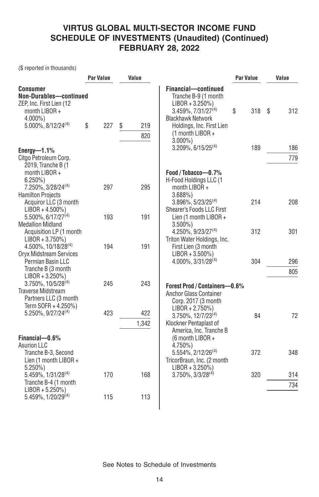(\$ reported in thousands)

|                                                                                                                                         | <b>Par Value</b> | Value            |                                                                                                                                                                                       | <b>Par Value</b> | Value      |
|-----------------------------------------------------------------------------------------------------------------------------------------|------------------|------------------|---------------------------------------------------------------------------------------------------------------------------------------------------------------------------------------|------------------|------------|
| <b>Consumer</b><br>Non-Durables-continued<br>ZEP, Inc. First Lien (12<br>month LIBOR +<br>$4.000\%$ )<br>$5.000\%$ , $8/12/24^{(4)}$    | \$<br>227        | \$<br>219<br>820 | Financial-continued<br>Tranche B-9 (1 month<br>$LIBOR + 3.250\%)$<br>3.459%, 7/31/27(4)<br><b>Blackhawk Network</b><br>Holdings, Inc. First Lien<br>$(1$ month LIBOR +<br>$3.000\%$ ) | \$<br>318        | \$<br>312  |
| Energy- $-1.1\%$                                                                                                                        |                  |                  | $3.209\%$ , 6/15/25 <sup>(4)</sup>                                                                                                                                                    | 189              | 186        |
| Citgo Petroleum Corp.<br>2019, Tranche B (1<br>month LIBOR +<br>$6.250\%$<br>7.250%, 3/28/24 <sup>(4)</sup><br><b>Hamilton Projects</b> | 297              | 295              | Food / Tobacco-0.7%<br>H-Food Holdings LLC (1<br>month LIBOR +<br>3.688%                                                                                                              |                  | 779        |
| Acquiror LLC (3 month<br>$LIBOR + 4.500\%)$<br>5.500%, 6/17/27 <sup>(4)</sup><br><b>Medallion Midland</b>                               | 193              | 191              | 3.896%, 5/23/25 <sup>(4)</sup><br>Shearer's Foods LLC First<br>Lien (1 month LIBOR +<br>$3.500\%$                                                                                     | 214              | 208        |
| Acquisition LP (1 month<br>$LIBOR + 3.750\%)$<br>$4.500\%$ , 10/18/28 <sup>(4)</sup><br>Oryx Midstream Services<br>Permian Basin LLC    | 194              | 191              | $4.250\%$ , 9/23/27 <sup>(4)</sup><br>Triton Water Holdings, Inc.<br>First Lien (3 month<br>$LIBOR + 3.500\%)$<br>$4.000\%$ , $3/31/28^{(4)}$                                         | 312<br>304       | 301<br>296 |
| Tranche B (3 month<br>$LIBOR + 3.250\%)$<br>$3.750\%$ , $10/5/28^{(4)}$                                                                 | 245              | 243              | Forest Prod / Containers-0.6%                                                                                                                                                         |                  | 805        |
| <b>Traverse Midstream</b><br>Partners LLC (3 month<br>Term SOFR + 4.250%)<br>5.250%, 9/27/24 <sup>(4)</sup>                             | 423              | 422<br>1,342     | Anchor Glass Container<br>Corp. 2017 (3 month<br>$LIBOR + 2.750\%)$<br>$3.750\%$ , $12/7/23^{(4)}$<br>Klockner Pentaplast of<br>America, Inc. Tranche B                               | 84               | 72         |
| Financial-0.6%<br><b>Asurion LLC</b><br>Tranche B-3, Second<br>Lien (1 month LIBOR +                                                    |                  |                  | (6 month LIBOR +<br>$4.750\%$<br>$5.554\%$ , 2/12/26 <sup>(4)</sup><br>TricorBraun, Inc. (2 month                                                                                     | 372              | 348        |
| $5.250\%$<br>5.459%, 1/31/28 <sup>(4)</sup><br>Tranche B-4 (1 month                                                                     | 170              | 168              | $LIBOR + 3.250\%)$<br>$3.750\%$ , $3/3/28^{(4)}$                                                                                                                                      | 320              | 314<br>734 |
| $LIBOR + 5.250\%)$<br>5.459%, 1/20/29 <sup>(4)</sup>                                                                                    | 115              | 113              |                                                                                                                                                                                       |                  |            |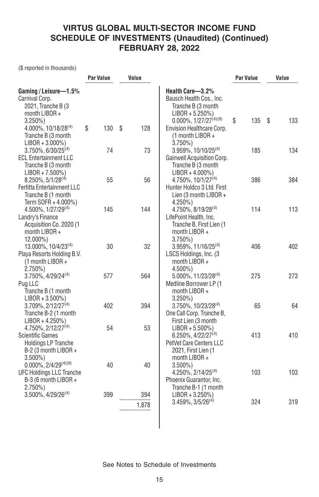(\$ reported in thousands)

|                                                                                                                | <b>Par Value</b> | Value        |                                                                                                                 | <b>Par Value</b> | Value     |
|----------------------------------------------------------------------------------------------------------------|------------------|--------------|-----------------------------------------------------------------------------------------------------------------|------------------|-----------|
| Gaming / Leisure-1.5%<br>Carnival Corp.<br>2021, Tranche B (3<br>month LIBOR +                                 |                  |              | Health Care-3.2%<br>Bausch Health Cos., Inc.<br>Tranche B (3 month<br>$LIBOR + 5.250\%)$                        |                  |           |
| $3.250\%$<br>4.000%, 10/18/28 <sup>(4)</sup><br>Tranche B (3 month<br>$LIBOR + 3.000\%)$                       | \$<br>130        | \$<br>128    | $0.000\%$ , $1/27/27^{(4)(9)}$<br>Envision Healthcare Corp.<br>(1 month LIBOR +<br>$3.750\%$                    | \$<br>135        | 133<br>\$ |
| $3.750\%$ , 6/30/25 <sup>(4)</sup><br><b>ECL Entertainment LLC</b><br>Tranche B (3 month<br>$LIBOR + 7.500\%)$ | 74               | 73           | $3.959\%, 10/10/25^{(4)}$<br>Gainwell Acquisition Corp.<br>Tranche B (3 month<br>$LIBOR + 4.000\%)$             | 185              | 134       |
| $8.250\%, 5/1/28^{(4)}$<br>Fertitta Entertainment LLC<br>Tranche B (1 month<br>Term SOFR + 4.000%)             | 55               | 56           | 4.750%, 10/1/27 <sup>(4)</sup><br>Hunter Holdco 3 Ltd. First<br>Lien (3 month LIBOR +<br>$4.250\%$              | 386              | 384       |
| $4.500\%$ , $1/27/29^{(4)}$<br>Landry's Finance<br>Acquisition Co. 2020 (1<br>month LIBOR +<br>12.000%)        | 145              | 144          | $4.750\%$ , $8/19/28^{(4)}$<br>LifePoint Health, Inc.<br>Tranche B, First Lien (1<br>month LIBOR +<br>$3.750\%$ | 114              | 113       |
| 13.000%, 10/4/23(4)<br>Playa Resorts Holding B.V.<br>$(1$ month LIBOR +<br>$2.750\%)$                          | 30               | 32           | 3.959%, 11/16/25 <sup>(4)</sup><br>LSCS Holdings, Inc. (3<br>month LIBOR +<br>4.500%)                           | 406              | 402       |
| 3.750%, 4/29/24 <sup>(4)</sup><br>Pug LLC<br>Tranche B (1 month<br>$LIBOR + 3.500\%)$                          | 577              | 564          | 5.000%, 11/23/28(4)<br>Medline Borrower LP (1<br>month LIBOR +<br>$3.250\%$                                     | 275              | 273       |
| $3.709\%$ , $2/12/27^{(4)}$<br>Tranche B-2 (1 month<br>$LIBOR + 4.250\%)$<br>4.750%, 2/12/27 <sup>(4)</sup>    | 402<br>54        | 394<br>53    | 3.750%, 10/23/28 <sup>(4)</sup><br>One Call Corp. Tranche B,<br>First Lien (3 month<br>$LIBOR + 5.500\%)$       | 65               | 64        |
| <b>Scientific Games</b><br><b>Holdings LP Tranche</b><br>B-2 (3 month LIBOR +<br>$3.500\%$                     |                  |              | 6.250%, 4/22/27 <sup>(4)</sup><br>PetVet Care Centers LLC<br>2021, First Lien (1<br>month $LIBOR +$             | 413              | 410       |
| $0.000\%$ , 2/4/29 <sup>(4)(9)</sup><br><b>UFC Holdings LLC Tranche</b><br>B-3 (6 month LIBOR +<br>$2.750\%$   | 40               | 40           | $3.500\%$<br>$4.250\%$ , $2/14/25^{(4)}$<br>Phoenix Guarantor, Inc.<br>Tranche B-1 (1 month                     | 103              | 103       |
| $3.500\%$ , $4/29/26^{(4)}$                                                                                    | 399              | 394<br>1,878 | $LIBOR + 3.250\%)$<br>$3.459\%$ , $3/5/26^{(4)}$                                                                | 324              | 319       |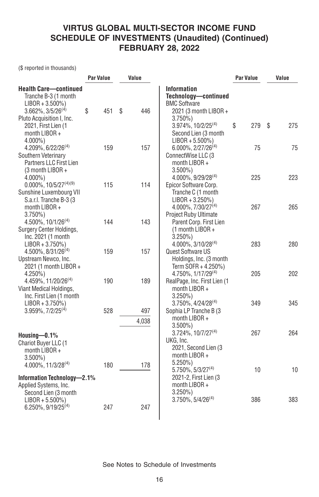(\$ reported in thousands)

|                                                                                                         | <b>Par Value</b> | Value        |                                                                                                        | Par Value | Value    |
|---------------------------------------------------------------------------------------------------------|------------------|--------------|--------------------------------------------------------------------------------------------------------|-----------|----------|
| <b>Health Care-continued</b><br>Tranche B-3 (1 month<br>$LIBOR + 3.500\%)$                              |                  |              | <b>Information</b><br>Technology-continued<br><b>BMC Software</b>                                      |           |          |
| $3.662\%$ , $3/5/26^{(4)}$<br>Pluto Acquisition I, Inc.                                                 | \$<br>451        | \$<br>446    | 2021 (3 month LIBOR +<br>$3.750\%$                                                                     |           |          |
| 2021, First Lien (1<br>month LIBOR +<br>$4.000\%$ )                                                     |                  |              | $3.974\%$ , 10/2/25 <sup>(4)</sup><br>Second Lien (3 month<br>$LIBOR + 5.500\%)$                       | \$<br>279 | 275<br>S |
| 4.209%, 6/22/26 <sup>(4)</sup><br>Southern Veterinary<br>Partners LLC First Lien<br>$(3$ month LIBOR +  | 159              | 157          | $6.000\%$ , 2/27/26 <sup>(4)</sup><br>ConnectWise LLC (3<br>month LIBOR +<br>$3.500\%$                 | 75        | 75       |
| $4.000\%$ )<br>$0.000\%$ , $10/5/27^{(4)(9)}$<br>Sunshine Luxembourg VII<br>S.a.r.l. Tranche B-3 (3     | 115              | 114          | 4.000%, 9/29/28(4)<br>Epicor Software Corp.<br>Tranche C (1 month<br>$LIBOR + 3.250\%)$                | 225       | 223      |
| month LIBOR +<br>$3.750\%$<br>$4.500\%$ , $10/1/26^{(4)}$<br>Surgery Center Holdings,                   | 144              | 143          | 4.000%, 7/30/27 <sup>(4)</sup><br>Project Ruby Ultimate<br>Parent Corp. First Lien<br>(1 month LIBOR + | 267       | 265      |
| Inc. 2021 (1 month<br>$LIBOR + 3.750\%)$<br>4.500%, 8/31/26 <sup>(4)</sup><br>Upstream Newco, Inc.      | 159              | 157          | $3.250\%$<br>$4.000\%$ , 3/10/28 <sup>(4)</sup><br>Quest Software US<br>Holdings, Inc. (3 month        | 283       | 280      |
| 2021 (1 month LIBOR +<br>$4.250\%$<br>4.459%, 11/20/26 <sup>(4)</sup><br>Viant Medical Holdings,        | 190              | 189          | Term SOFR + 4.250%)<br>$4.750\%$ , $1/17/29^{(4)}$<br>RealPage, Inc. First Lien (1<br>month LIBOR +    | 205       | 202      |
| Inc. First Lien (1 month<br>$LIBOR + 3.750\%)$<br>$3.959\%, 7/2/25^{(4)}$                               | 528              | 497<br>4,038 | $3.250\%$<br>3.750%, 4/24/28(4)<br>Sophia LP Tranche B (3)<br>month $LIBOR +$<br>$3.500\%$ )           | 349       | 345      |
| Housing $-0.1\%$<br>Chariot Buyer LLC (1<br>month LIBOR +<br>$3.500\%$ )<br>$4.000\%$ , $11/3/28^{(4)}$ | 180              | 178          | 3.724%, 10/7/27 <sup>(4)</sup><br>UKG, Inc.<br>2021, Second Lien (3<br>month LIBOR +<br>$5.250\%$      | 267       | 264      |
| Information Technology-2.1%<br>Applied Systems, Inc.<br>Second Lien (3 month                            |                  |              | $5.750\%$ , $5/3/27^{(4)}$<br>2021-2, First Lien (3)<br>month LIBOR +<br>$3.250\%$                     | 10        | 10       |
| $LIBOR + 5.500\%)$<br>$6.250\%$ , 9/19/25 <sup>(4)</sup>                                                | 247              | 247          | $3.750\%$ , $5/4/26^{(4)}$                                                                             | 386       | 383      |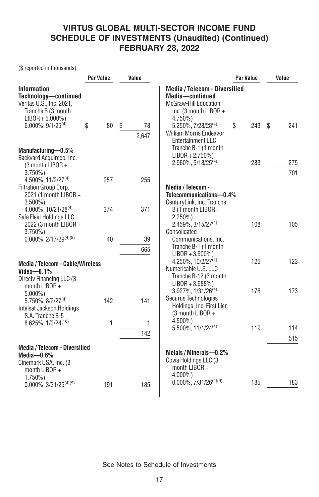(\$ reported in thousands)

|                                                                                                                   | <b>Par Value</b> | Value    |                                                                                                                         | <b>Par Value</b> | Value     |
|-------------------------------------------------------------------------------------------------------------------|------------------|----------|-------------------------------------------------------------------------------------------------------------------------|------------------|-----------|
| <b>Information</b><br>Technology-continued<br>Veritas U.S., Inc. 2021,<br>Tranche B (3 month<br>$LIBOR + 5.000\%$ |                  |          | <b>Media / Telecom - Diversified</b><br>Media-continued<br>McGraw-Hill Education.<br>Inc. (3 month LIBOR +<br>$4.750\%$ |                  |           |
| $6.000\%$ , $9/1/25^{(4)}$                                                                                        | \$<br>80         | \$<br>78 | 5.250%, 7/28/28(4)                                                                                                      | \$<br>243        | \$<br>241 |
|                                                                                                                   |                  | 2,647    | <b>William Morris Endeavor</b><br><b>Entertainment LLC</b>                                                              |                  |           |
| Manufacturing-0.5%                                                                                                |                  |          | Tranche B-1 (1 month                                                                                                    |                  |           |
| Backyard Acquireco, Inc.                                                                                          |                  |          | $LIBOR + 2.750\%)$<br>2.960%, 5/18/25 <sup>(4)</sup>                                                                    | 283              | 275       |
| (3 month LIBOR +<br>$3.750\%$                                                                                     |                  |          |                                                                                                                         |                  | 701       |
| 4.500%, 11/2/27 <sup>(4)</sup>                                                                                    | 257              | 255      |                                                                                                                         |                  |           |
| Filtration Group Corp.<br>2021 (1 month LIBOR +<br>$3.500\%$ )                                                    |                  |          | Media / Telecom -<br>Telecommunications-0.4%<br>CenturyLink, Inc. Tranche                                               |                  |           |
| $4.000\%$ , 10/21/28 <sup>(4)</sup><br>Safe Fleet Holdings LLC<br>2022 (3 month LIBOR +                           | 374              | 371      | B (1 month LIBOR +<br>$2.250\%$<br>$2.459\%, 3/15/27^{(4)}$                                                             | 108              | 105       |
| $3.750\%$                                                                                                         |                  |          | Consolidated                                                                                                            |                  |           |
| $0.000\%$ , 2/17/29 <sup>(4)(9)</sup>                                                                             | 40               | 39       | Communications, Inc.                                                                                                    |                  |           |
|                                                                                                                   |                  | 665      | Tranche B-1 (1 month<br>$LIBOR + 3.500\%)$                                                                              |                  |           |
| <b>Media / Telecom - Cable/Wireless</b><br>Video $-0.1\%$<br>Directy Financing LLC (3)                            |                  |          | 4.250%, 10/2/27 <sup>(4)</sup><br>Numericable U.S. LLC<br>Tranche B-12 (3 month<br>$LIBOR + 3.688\%)$                   | 125              | 123       |
| month $LIBOR +$<br>$5.000\%$ )                                                                                    |                  |          | 3.927%, 1/31/26(4)                                                                                                      | 176              | 173       |
| 5.750%, 8/2/27 <sup>(4)</sup><br>Intelsat Jackson Holdings<br>S.A. Tranche B-5                                    | 142              | 141      | Securus Technologies<br>Holdings, Inc. First Lien<br>(3 month LIBOR +                                                   |                  |           |
| 8.625%, 1/2/24 <sup>(10)</sup>                                                                                    | 1                | 1        | $4.500\%$                                                                                                               | 119              | 114       |
|                                                                                                                   |                  | 142      | $5.500\%$ , 11/1/24 <sup>(4)</sup>                                                                                      |                  | 515       |
| Media / Telecom - Diversified                                                                                     |                  |          |                                                                                                                         |                  |           |
| Media-0.6%<br>Cinemark USA, Inc. (3<br>month LIBOR +                                                              |                  |          | Metals / Minerals-0.2%<br>Covia Holdings LLC (3<br>month LIBOR +<br>$4.000\%$ )                                         |                  |           |
| $1.750\%$<br>$0.000\%$ , 3/31/25 <sup>(4)(9)</sup>                                                                | 191              | 185      | $0.000\%$ , 7/31/26 <sup>(4)(9)</sup>                                                                                   | 185              | 183       |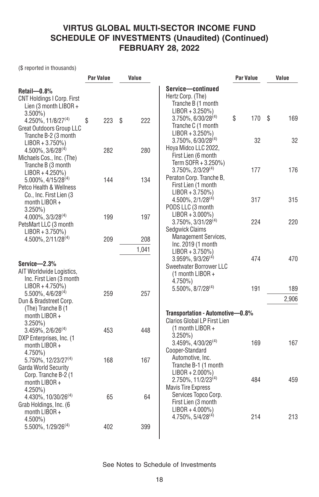(\$ reported in thousands)

|                                                                                                    | <b>Par Value</b> | Value     |                                                                                                           | <b>Par Value</b> | Value    |
|----------------------------------------------------------------------------------------------------|------------------|-----------|-----------------------------------------------------------------------------------------------------------|------------------|----------|
| $Retail = 0.8\%$<br><b>CNT Holdings I Corp. First</b><br>Lien (3 month LIBOR +                     |                  |           | Service-continued<br>Hertz Corp. (The)<br>Tranche B (1 month<br>$LIBOR + 3.250\%)$                        |                  |          |
| $3.500\%$<br>4.250%, 11/8/27 <sup>(4)</sup><br><b>Great Outdoors Group LLC</b>                     | 223<br>\$        | 222<br>\$ | 3.750%, 6/30/28 <sup>(4)</sup><br>Tranche C (1 month<br>$LIBOR + 3.250\%)$                                | \$<br>170        | 169<br>S |
| Tranche B-2 (3 month<br>$LIBOR + 3.750\%)$<br>$4.500\%$ , $3/6/28^{(4)}$                           | 282              | 280       | 3.750%, 6/30/28 <sup>(4)</sup><br>Hoya Midco LLC 2022,<br>First Lien (6 month                             | 32               | 32       |
| Michaels Cos., Inc. (The)<br>Tranche B (3 month<br>$LIBOR + 4.250\%)$                              |                  |           | Term SOFR + 3.250%)<br>3.750%, 2/3/29(4)<br>Peraton Corp. Tranche B,                                      | 177              | 176      |
| $5.000\%$ , $4/15/28^{(4)}$<br>Petco Health & Wellness<br>Co., Inc. First Lien (3<br>month LIBOR + | 144              | 134       | First Lien (1 month<br>$LIBOR + 3.750\%)$<br>$4.500\%$ , $2/1/28^{(4)}$                                   | 317              | 315      |
| $3.250\%$<br>4.000%, 3/3/28 <sup>(4)</sup><br>PetsMart LLC (3 month                                | 199              | 197       | PODS LLC (3 month<br>$LIBOR + 3.000\%)$<br>$3.750\%$ , $3/31/28^{(4)}$                                    | 224              | 220      |
| $LIBOR + 3.750\%)$<br>4.500%, 2/11/28 <sup>(4)</sup>                                               | 209              | 208       | Sedgwick Claims<br>Management Services,<br>Inc. 2019 (1 month                                             |                  |          |
| $Service - 2.3%$                                                                                   |                  | 1,041     | $LIBOR + 3.750\%)$<br>$3.959\%$ , $9/3/26^{(4)}$<br>Sweetwater Borrower LLC                               | 474              | 470      |
| AIT Worldwide Logistics,<br>Inc. First Lien (3 month<br>$LIBOR + 4.750\%)$                         |                  |           | (1 month LIBOR +<br>4.750%)<br>$5.500\%$ , $8/7/28^{(4)}$                                                 | 191              | 189      |
| $5.500\%$ , $4/6/28^{(4)}$<br>Dun & Bradstreet Corp.<br>(The) Tranche B (1                         | 259              | 257       | Transportation - Automotive-0.8%                                                                          |                  | 2,906    |
| month LIBOR +<br>$3.250\%$<br>$3.459\%$ , $2/6/26^{(4)}$                                           | 453              | 448       | Clarios Global LP First Lien<br>$(1$ month LIBOR +<br>$3.250\%$                                           |                  |          |
| DXP Enterprises, Inc. (1<br>month $LIBOR +$<br>4.750%)                                             |                  |           | $3.459\%$ , $4/30/26^{(4)}$<br>Cooper-Standard<br>Automotive, Inc.                                        | 169              | 167      |
| 5.750%, 12/23/27 <sup>(4)</sup><br>Garda World Security<br>Corp. Tranche B-2 (1<br>month $LIBOR +$ | 168              | 167       | Tranche B-1 (1 month<br>$LIBOR + 2.000\%)$<br>2.750%, 11/2/23 <sup>(4)</sup><br><b>Mavis Tire Express</b> | 484              | 459      |
| $4.250\%$ )<br>4.430%, 10/30/26 <sup>(4)</sup><br>Grab Holdings, Inc. (6<br>month LIBOR +          | 65               | 64        | Services Topco Corp.<br>First Lien (3 month<br>$LIBOR + 4.000\%)$                                         |                  |          |
| $4.500\%$<br>5.500%, 1/29/26 <sup>(4)</sup>                                                        | 402              | 399       | 4.750%, 5/4/28 <sup>(4)</sup>                                                                             | 214              | 213      |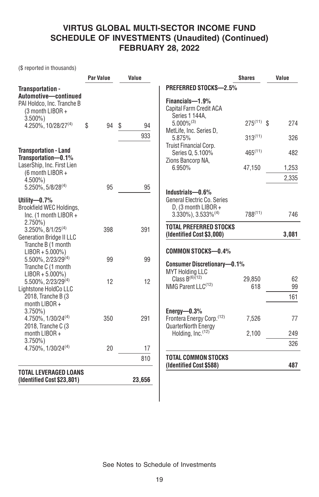(\$ reported in thousands)

|                                                                                            | <b>Par Value</b> | Value    |                                                                                                                | <b>Shares</b>   | Value |                 |
|--------------------------------------------------------------------------------------------|------------------|----------|----------------------------------------------------------------------------------------------------------------|-----------------|-------|-----------------|
| Transportation -<br>Automotive-continued<br>PAI Holdco, Inc. Tranche B<br>(3 month LIBOR + |                  |          | <b>PREFERRED STOCKS-2.5%</b><br>Financials-1.9%<br>Capital Farm Credit ACA<br>Series 1 144A,                   |                 |       |                 |
| $3.500\%$<br>$4.250\%$ , 10/28/27 <sup>(4)</sup>                                           | \$<br>94         | \$<br>94 | $5.000\%^{(3)}$<br>MetLife, Inc. Series D.                                                                     | $275^{(11)}$ \$ |       | 274             |
|                                                                                            |                  | 933      | 5.875%<br>Truist Financial Corp.                                                                               | $313^{(11)}$    |       | 326             |
| <b>Transportation - Land</b><br>Transportation-0.1%                                        |                  |          | Series Q, 5.100%<br>Zions Bancorp NA,                                                                          | $465^{(11)}$    |       | 482             |
| LaserShip, Inc. First Lien<br>(6 month LIBOR +                                             |                  |          | 6.950%                                                                                                         | 47,150          |       | 1,253           |
| $4.500\%$ )<br>$5.250\%$ , $5/8/28^{(4)}$                                                  | 95               | 95       |                                                                                                                |                 |       | 2,335           |
| Utility-0.7%<br>Brookfield WEC Holdings,<br>Inc. (1 month LIBOR +                          |                  |          | Industrials-0.6%<br>General Electric Co. Series<br>D. (3 month LIBOR +<br>$3.330\%$ , $3.533\%$ <sup>(4)</sup> | 788(11)         |       | 746             |
| $2.750\%)$<br>$3.250\%$ , $8/1/25^{(4)}$<br><b>Generation Bridge II LLC</b>                | 398              | 391      | <b>TOTAL PREFERRED STOCKS</b><br>(Identified Cost \$3,000)                                                     |                 | 3,081 |                 |
| Tranche B (1 month<br>$LIBOR + 5.000\%)$<br>5.500%, 2/23/29(4)<br>Tranche C (1 month       | 99               | 99       | <b>COMMON STOCKS-0.4%</b><br><b>Consumer Discretionary-0.1%</b><br><b>MYT Holding LLC</b>                      |                 |       |                 |
| $LIBOR + 5.000\%)$<br>5.500%, 2/23/29(4)<br>Lightstone HoldCo LLC<br>2018, Tranche B (3    | 12               | 12       | Class $B^{(6)(12)}$<br>NMG Parent LLC <sup>(12)</sup>                                                          | 29.850<br>618   |       | 62<br>99<br>161 |
| month $LIBOR +$<br>$3.750\%$<br>4.750%, 1/30/24(4)<br>2018, Tranche C (3                   | 350              | 291      | Energy-0.3%<br>Frontera Energy Corp. <sup>(12)</sup><br>QuarterNorth Energy                                    | 7,526           |       | 77              |
| month LIBOR +<br>$3.750\%$                                                                 |                  |          | Holding, $Inc.$ $(12)$                                                                                         | 2,100           |       | 249             |
| 4.750%, 1/30/24 <sup>(4)</sup>                                                             | 20               | 17       |                                                                                                                |                 |       | 326             |
|                                                                                            |                  | 810      | <b>TOTAL COMMON STOCKS</b><br>(Identified Cost \$588)                                                          |                 |       | 487             |
| <b>TOTAL LEVERAGED LOANS</b><br>(Identified Cost \$23,801)                                 |                  | 23,656   |                                                                                                                |                 |       |                 |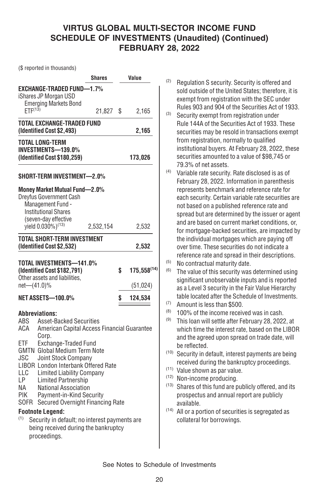(\$ reported in thousands)

|                     |                                                                          | <b>Shares</b> | Value                  |
|---------------------|--------------------------------------------------------------------------|---------------|------------------------|
|                     | <b>EXCHANGE-TRADED FUND-1.7%</b>                                         |               |                        |
|                     | iShares JP Morgan USD                                                    |               |                        |
| ETF <sup>(13)</sup> | <b>Emerging Markets Bond</b>                                             |               |                        |
|                     |                                                                          | 21,827        | \$<br>2,165            |
|                     | TOTAL EXCHANGE-TRADED FUND<br>(Identified Cost \$2,493)                  |               | 2,165                  |
|                     |                                                                          |               |                        |
|                     | <b>TOTAL LONG-TERM</b><br><b>INVESTMENTS-139.0%</b>                      |               |                        |
|                     | (Identified Cost \$180,259)                                              |               | 173,026                |
|                     |                                                                          |               |                        |
|                     | SHORT-TERM INVESTMENT-2.0%                                               |               |                        |
|                     | Money Market Mutual Fund-2.0%                                            |               |                        |
|                     | Dreyfus Government Cash                                                  |               |                        |
|                     | Management Fund -                                                        |               |                        |
|                     | <b>Institutional Shares</b>                                              |               |                        |
|                     | (seven-day effective<br>yield 0.030%) <sup>(13)</sup>                    |               |                        |
|                     |                                                                          | 2,532,154     | 2,532                  |
|                     | <b>TOTAL SHORT-TERM INVESTMENT</b>                                       |               |                        |
|                     | (Identified Cost \$2,532)                                                |               | 2,532                  |
|                     | TOTAL INVESTMENTS-141.0%                                                 |               |                        |
|                     | (Identified Cost \$182,791)                                              |               | \$<br>$175,558^{(14)}$ |
|                     | Other assets and liabilities,                                            |               |                        |
| net-(41.0)%         |                                                                          |               | (51, 024)              |
|                     | NET ASSETS—100.0%                                                        |               | \$<br>124,534          |
|                     |                                                                          |               |                        |
|                     | <b>Abbreviations:</b>                                                    |               |                        |
| ABS                 | <b>Asset-Backed Securities</b>                                           |               |                        |
| ACA                 | American Capital Access Financial Guarantee<br>Corp.                     |               |                        |
| FTF                 | Exchange-Traded Fund                                                     |               |                        |
|                     | <b>GMTN</b> Global Medium Term Note                                      |               |                        |
| JSC                 | Joint Stock Company                                                      |               |                        |
|                     | LIBOR London Interbank Offered Rate                                      |               |                        |
| LLC                 | <b>Limited Liability Company</b>                                         |               |                        |
| LP                  | <b>Limited Partnership</b>                                               |               |                        |
| NA                  | National Association                                                     |               |                        |
| PIK<br>SOFR         | Payment-in-Kind Security<br>Secured Overnight Financing Rate             |               |                        |
|                     |                                                                          |               |                        |
| (1)                 | <b>Footnote Legend:</b><br>Security in default; no interest payments are |               |                        |
|                     | being received during the bankruptcy                                     |               |                        |
|                     | proceedings.                                                             |               |                        |
|                     |                                                                          |               |                        |

- (2) Regulation S security. Security is offered and sold outside of the United States; therefore, it is exempt from registration with the SEC under Rules 903 and 904 of the Securities Act of 1933.
- (3) Security exempt from registration under Rule 144A of the Securities Act of 1933. These securities may be resold in transactions exempt from registration, normally to qualified institutional buyers. At February 28, 2022, these securities amounted to a value of \$98,745 or 79.3% of net assets.
- (4) Variable rate security. Rate disclosed is as of February 28, 2022. Information in parenthesis represents benchmark and reference rate for each security. Certain variable rate securities are not based on a published reference rate and spread but are determined by the issuer or agent and are based on current market conditions, or, for mortgage-backed securities, are impacted by the individual mortgages which are paying off over time. These securities do not indicate a reference rate and spread in their descriptions.
- (5) No contractual maturity date.
- $(6)$  The value of this security was determined using significant unobservable inputs and is reported as a Level 3 security in the Fair Value Hierarchy table located after the Schedule of Investments.
- (7) Amount is less than \$500.
- (8) 100% of the income received was in cash.
- $(9)$  This loan will settle after February 28, 2022, at which time the interest rate, based on the LIBOR and the agreed upon spread on trade date, will be reflected.
- (10) Security in default, interest payments are being received during the bankruptcy proceedings.
- (11) Value shown as par value.
- (12) Non-income producing.
- (13) Shares of this fund are publicly offered, and its prospectus and annual report are publicly available.
- (14) All or a portion of securities is segregated as collateral for borrowings.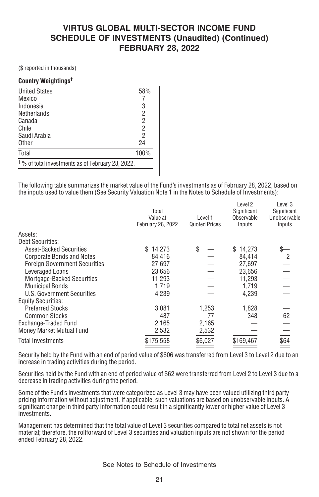(\$ reported in thousands)

#### **Country Weightings†**

| <b>United States</b>                                         | 58%  |
|--------------------------------------------------------------|------|
| Mexico                                                       |      |
| Indonesia                                                    | 3    |
| Netherlands                                                  | 2    |
| Canada                                                       | 2    |
| Chile                                                        | 2    |
| Saudi Arabia                                                 | 2    |
| Other                                                        | 24   |
| Total                                                        | 100% |
| <sup>†</sup> % of total investments as of February 28, 2022. |      |

The following table summarizes the market value of the Fund's investments as of February 28, 2022, based on the inputs used to value them (See Security Valuation Note 1 in the Notes to Schedule of Investments):

|                                      | Total<br>Value at<br>February 28, 2022 | Level 1<br><b>Quoted Prices</b> | Level 2<br>Significant<br>Observable<br>Inputs | Level 3<br>Significant<br>Unobservable<br>Inputs |
|--------------------------------------|----------------------------------------|---------------------------------|------------------------------------------------|--------------------------------------------------|
| Assets:                              |                                        |                                 |                                                |                                                  |
| <b>Debt Securities:</b>              |                                        |                                 |                                                |                                                  |
| <b>Asset-Backed Securities</b>       | \$14.273                               | \$                              | \$14.273                                       |                                                  |
| <b>Corporate Bonds and Notes</b>     | 84.416                                 |                                 | 84.414                                         | 2                                                |
| <b>Foreign Government Securities</b> | 27.697                                 |                                 | 27,697                                         |                                                  |
| Leveraged Loans                      | 23.656                                 |                                 | 23.656                                         |                                                  |
| <b>Mortgage-Backed Securities</b>    | 11.293                                 |                                 | 11.293                                         |                                                  |
| <b>Municipal Bonds</b>               | 1.719                                  |                                 | 1.719                                          |                                                  |
| U.S. Government Securities           | 4,239                                  |                                 | 4,239                                          |                                                  |
| <b>Equity Securities:</b>            |                                        |                                 |                                                |                                                  |
| <b>Preferred Stocks</b>              | 3.081                                  | 1,253                           | 1,828                                          |                                                  |
| <b>Common Stocks</b>                 | 487                                    | 77                              | 348                                            | 62                                               |
| Exchange-Traded Fund                 | 2,165                                  | 2,165                           |                                                |                                                  |
| Money Market Mutual Fund             | 2,532                                  | 2,532                           |                                                |                                                  |
| Total Investments                    | \$175,558                              | \$6,027                         | \$169,467                                      | \$64                                             |
|                                      |                                        |                                 |                                                |                                                  |

Security held by the Fund with an end of period value of \$606 was transferred from Level 3 to Level 2 due to an increase in trading activities during the period.

Securities held by the Fund with an end of period value of \$62 were transferred from Level 2 to Level 3 due to a decrease in trading activities during the period.

Some of the Fund's investments that were categorized as Level 3 may have been valued utilizing third party pricing information without adjustment. If applicable, such valuations are based on unobservable inputs. A significant change in third party information could result in a significantly lower or higher value of Level 3 investments.

Management has determined that the total value of Level 3 securities compared to total net assets is not material; therefore, the rollforward of Level 3 securities and valuation inputs are not shown for the period ended February 28, 2022.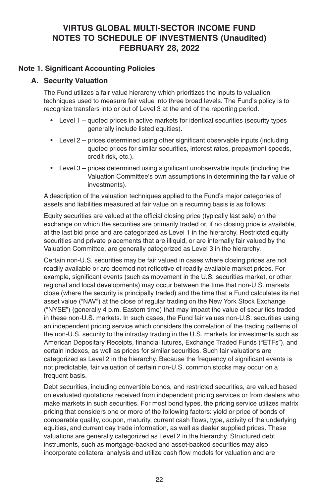#### **VIRTUS GLOBAL MULTI-SECTOR INCOME FUND NOTES TO SCHEDULE OF INVESTMENTS (Unaudited) FEBRUARY 28, 2022**

#### **Note 1. Significant Accounting Policies**

#### **A. Security Valuation**

The Fund utilizes a fair value hierarchy which prioritizes the inputs to valuation techniques used to measure fair value into three broad levels. The Fund's policy is to recognize transfers into or out of Level 3 at the end of the reporting period.

- Level 1 quoted prices in active markets for identical securities (security types generally include listed equities).
- Level 2 prices determined using other significant observable inputs (including quoted prices for similar securities, interest rates, prepayment speeds, credit risk, etc.).
- Level 3 prices determined using significant unobservable inputs (including the Valuation Committee's own assumptions in determining the fair value of investments).

A description of the valuation techniques applied to the Fund's major categories of assets and liabilities measured at fair value on a recurring basis is as follows:

Equity securities are valued at the official closing price (typically last sale) on the exchange on which the securities are primarily traded or, if no closing price is available, at the last bid price and are categorized as Level 1 in the hierarchy. Restricted equity securities and private placements that are illiquid, or are internally fair valued by the Valuation Committee, are generally categorized as Level 3 in the hierarchy.

Certain non-U.S. securities may be fair valued in cases where closing prices are not readily available or are deemed not reflective of readily available market prices. For example, significant events (such as movement in the U.S. securities market, or other regional and local developments) may occur between the time that non-U.S. markets close (where the security is principally traded) and the time that a Fund calculates its net asset value ("NAV") at the close of regular trading on the New York Stock Exchange ("NYSE") (generally 4 p.m. Eastern time) that may impact the value of securities traded in these non-U.S. markets. In such cases, the Fund fair values non-U.S. securities using an independent pricing service which considers the correlation of the trading patterns of the non-U.S. security to the intraday trading in the U.S. markets for investments such as American Depositary Receipts, financial futures, Exchange Traded Funds ("ETFs"), and certain indexes, as well as prices for similar securities. Such fair valuations are categorized as Level 2 in the hierarchy. Because the frequency of significant events is not predictable, fair valuation of certain non-U.S. common stocks may occur on a frequent basis.

Debt securities, including convertible bonds, and restricted securities, are valued based on evaluated quotations received from independent pricing services or from dealers who make markets in such securities. For most bond types, the pricing service utilizes matrix pricing that considers one or more of the following factors: yield or price of bonds of comparable quality, coupon, maturity, current cash flows, type, activity of the underlying equities, and current day trade information, as well as dealer supplied prices. These valuations are generally categorized as Level 2 in the hierarchy. Structured debt instruments, such as mortgage-backed and asset-backed securities may also incorporate collateral analysis and utilize cash flow models for valuation and are